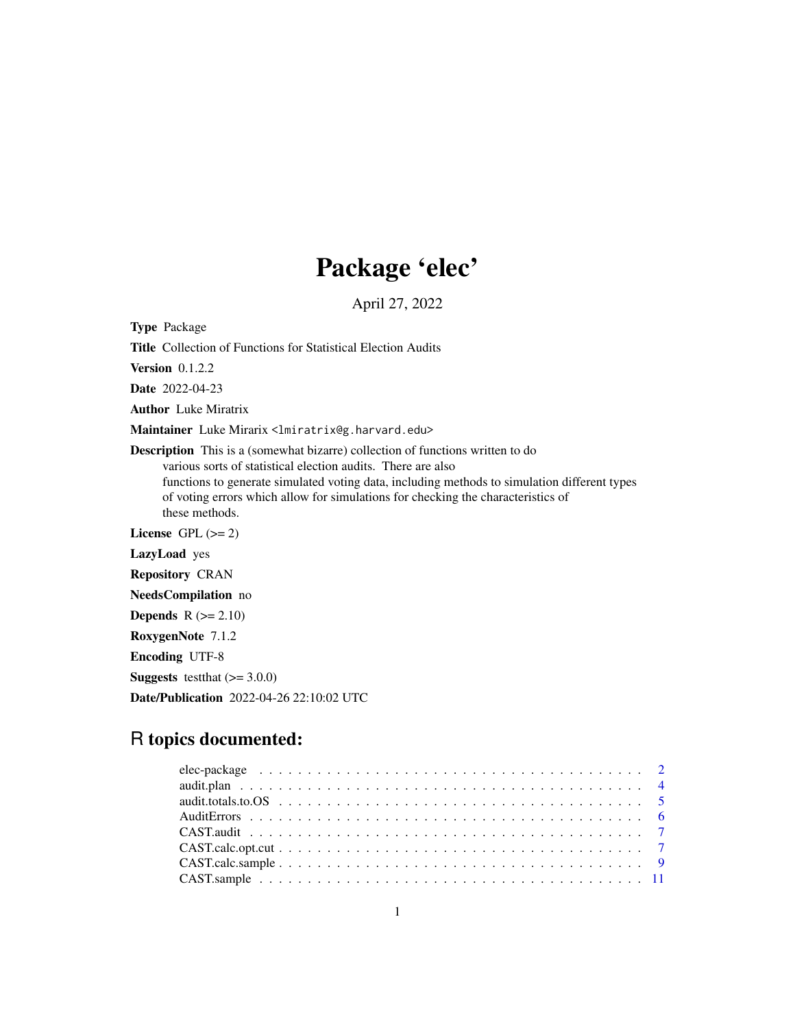# Package 'elec'

April 27, 2022

Type Package

Title Collection of Functions for Statistical Election Audits

Version 0.1.2.2

Date 2022-04-23

Author Luke Miratrix

Maintainer Luke Mirarix <lmiratrix@g.harvard.edu>

Description This is a (somewhat bizarre) collection of functions written to do various sorts of statistical election audits. There are also functions to generate simulated voting data, including methods to simulation different types of voting errors which allow for simulations for checking the characteristics of these methods.

License GPL  $(>= 2)$ LazyLoad yes Repository CRAN NeedsCompilation no **Depends**  $R$  ( $>= 2.10$ ) RoxygenNote 7.1.2 Encoding UTF-8 **Suggests** testthat  $(>= 3.0.0)$ Date/Publication 2022-04-26 22:10:02 UTC

## R topics documented: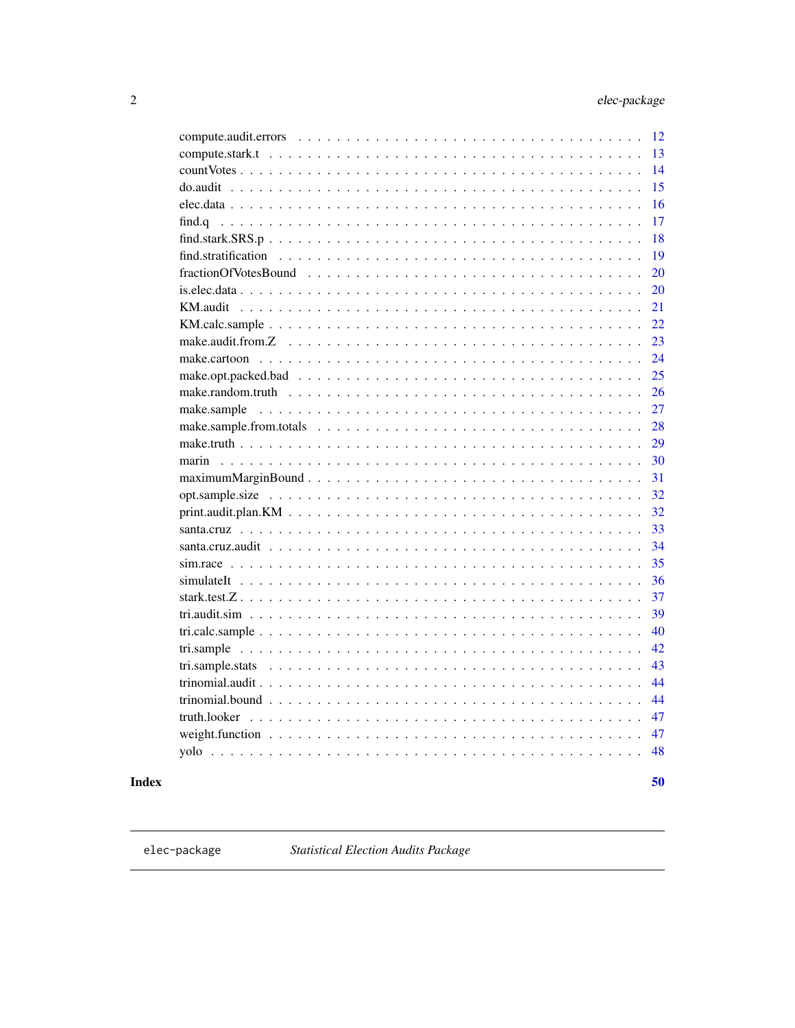50

<span id="page-1-0"></span>

| 12                  |
|---------------------|
| 13                  |
| 14                  |
| 15                  |
| 16                  |
| 17                  |
| 18                  |
| 19                  |
| 20                  |
| 20                  |
| 21                  |
| 22                  |
| 23                  |
| 24                  |
| 25                  |
| 26                  |
| 27                  |
| 28                  |
| 29                  |
| 30                  |
| 31                  |
| 32                  |
| 32                  |
| 33                  |
| 34                  |
| 35                  |
| 36                  |
| 37<br>stark.test.Z. |
| 39                  |
| 40                  |
| 42                  |
| 43                  |
| 44                  |
| 44                  |
| 47                  |
| 47                  |
| 48                  |
|                     |

### **Index**

elec-package

Statistical Election Audits Package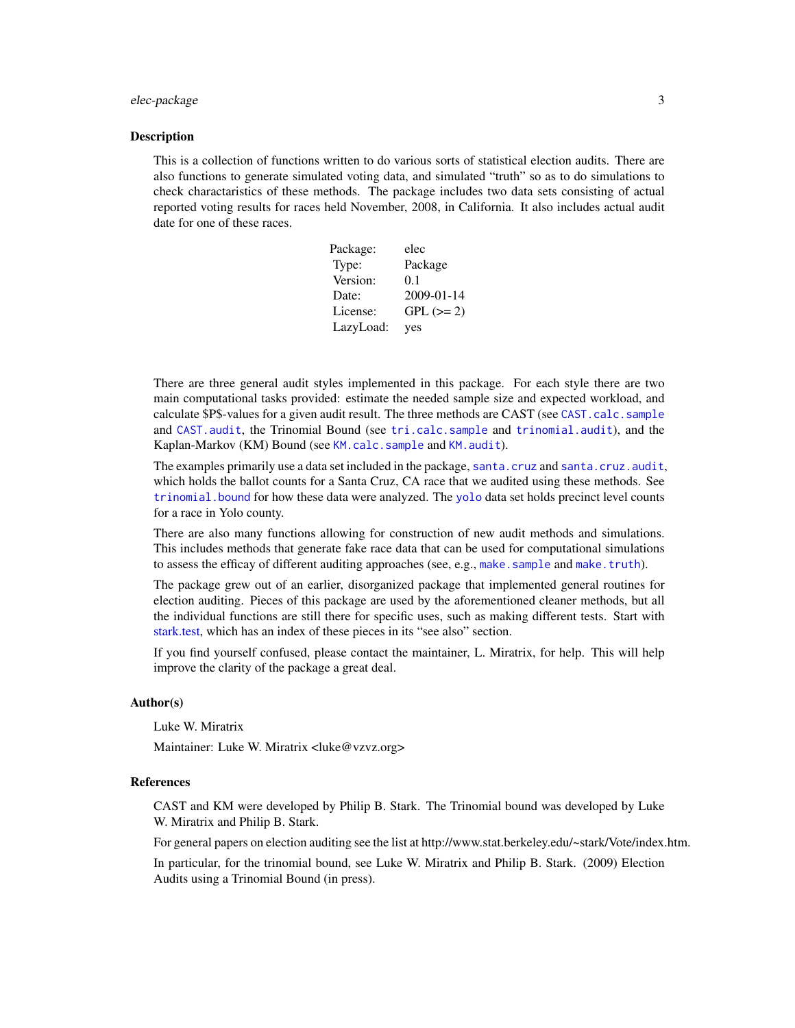#### <span id="page-2-0"></span>elec-package 3

#### **Description**

This is a collection of functions written to do various sorts of statistical election audits. There are also functions to generate simulated voting data, and simulated "truth" so as to do simulations to check charactaristics of these methods. The package includes two data sets consisting of actual reported voting results for races held November, 2008, in California. It also includes actual audit date for one of these races.

| Package:  | elec       |
|-----------|------------|
| Type:     | Package    |
| Version:  | 0.1        |
| Date:     | 2009-01-14 |
| License:  | $GPL (=2)$ |
| LazyLoad: | yes        |

There are three general audit styles implemented in this package. For each style there are two main computational tasks provided: estimate the needed sample size and expected workload, and calculate \$P\$-values for a given audit result. The three methods are CAST (see [CAST.calc.sample](#page-8-1) and [CAST.audit](#page-6-1), the Trinomial Bound (see [tri.calc.sample](#page-39-1) and [trinomial.audit](#page-43-1)), and the Kaplan-Markov (KM) Bound (see [KM.calc.sample](#page-21-1) and [KM.audit](#page-20-1)).

The examples primarily use a data set included in the package, [santa.cruz](#page-32-1) and [santa.cruz.audit](#page-33-1), which holds the ballot counts for a Santa Cruz, CA race that we audited using these methods. See [trinomial.bound](#page-43-2) for how these data were analyzed. The [yolo](#page-47-1) data set holds precinct level counts for a race in Yolo county.

There are also many functions allowing for construction of new audit methods and simulations. This includes methods that generate fake race data that can be used for computational simulations to assess the efficay of different auditing approaches (see, e.g., [make.sample](#page-26-1) and [make.truth](#page-28-1)).

The package grew out of an earlier, disorganized package that implemented general routines for election auditing. Pieces of this package are used by the aforementioned cleaner methods, but all the individual functions are still there for specific uses, such as making different tests. Start with [stark.test,](#page-36-1) which has an index of these pieces in its "see also" section.

If you find yourself confused, please contact the maintainer, L. Miratrix, for help. This will help improve the clarity of the package a great deal.

#### Author(s)

Luke W. Miratrix

Maintainer: Luke W. Miratrix <luke@vzvz.org>

#### **References**

CAST and KM were developed by Philip B. Stark. The Trinomial bound was developed by Luke W. Miratrix and Philip B. Stark.

For general papers on election auditing see the list at http://www.stat.berkeley.edu/~stark/Vote/index.htm.

In particular, for the trinomial bound, see Luke W. Miratrix and Philip B. Stark. (2009) Election Audits using a Trinomial Bound (in press).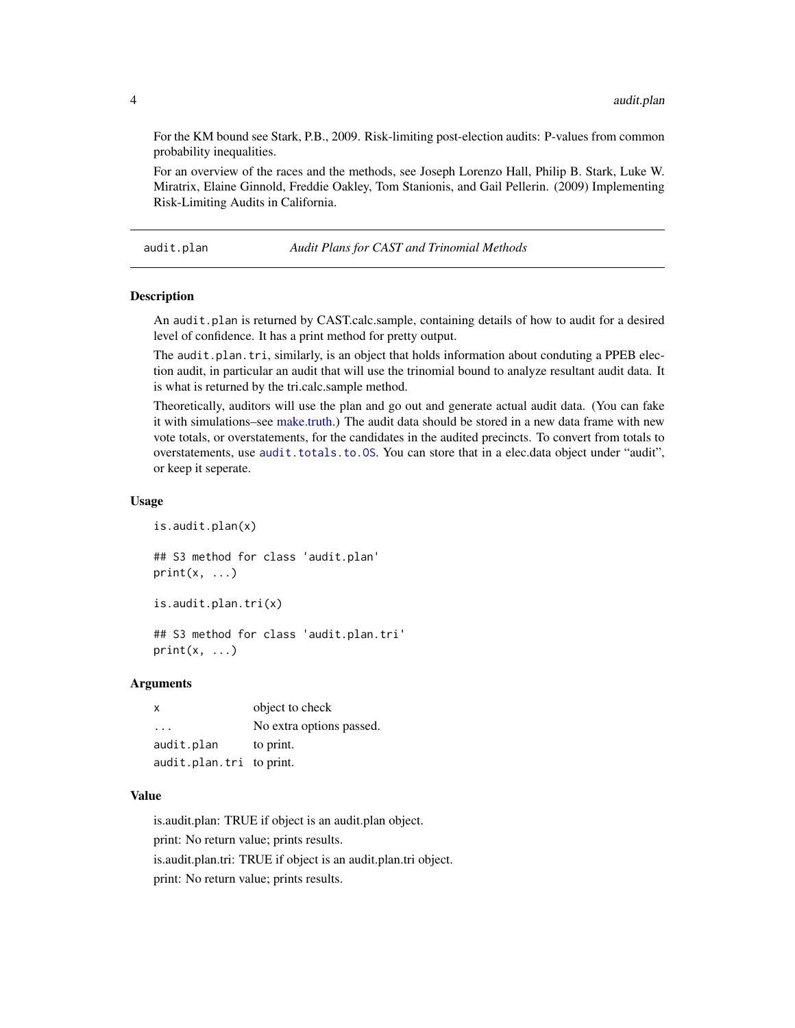For the KM bound see Stark, P.B., 2009. Risk-limiting post-election audits: P-values from common probability inequalities.

For an overview of the races and the methods, see Joseph Lorenzo Hall, Philip B. Stark, Luke W. Miratrix, Elaine Ginnold, Freddie Oakley, Tom Stanionis, and Gail Pellerin. (2009) Implementing Risk-Limiting Audits in California.

#### audit.plan *Audit Plans for CAST and Trinomial Methods*

#### Description

An audit.plan is returned by CAST.calc.sample, containing details of how to audit for a desired level of confidence. It has a print method for pretty output.

The audit.plan.tri, similarly, is an object that holds information about conduting a PPEB election audit, in particular an audit that will use the trinomial bound to analyze resultant audit data. It is what is returned by the tri.calc.sample method.

Theoretically, auditors will use the plan and go out and generate actual audit data. (You can fake it with simulations–see [make.truth.](#page-28-1)) The audit data should be stored in a new data frame with new vote totals, or overstatements, for the candidates in the audited precincts. To convert from totals to overstatements, use [audit.totals.to.OS](#page-4-1). You can store that in a elec.data object under "audit", or keep it seperate.

#### Usage

```
is.audit.plan(x)
```
## S3 method for class 'audit.plan'  $print(x, \ldots)$ 

```
is.audit.plan.tri(x)
```

```
## S3 method for class 'audit.plan.tri'
print(x, \ldots)
```
#### **Arguments**

| х                        | object to check          |
|--------------------------|--------------------------|
| .                        | No extra options passed. |
| audit.plan               | to print.                |
| audit.plan.tri to print. |                          |

#### Value

is.audit.plan: TRUE if object is an audit.plan object. print: No return value; prints results. is.audit.plan.tri: TRUE if object is an audit.plan.tri object. print: No return value; prints results.

<span id="page-3-0"></span>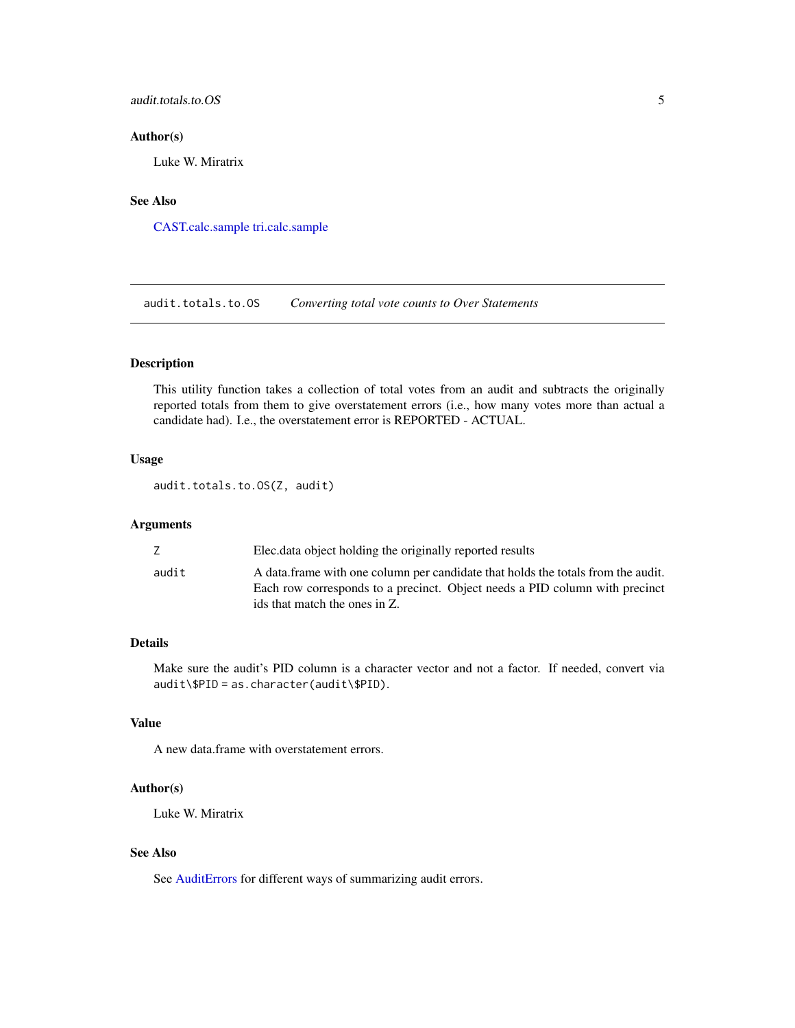#### <span id="page-4-0"></span>audit.totals.to.OS 5

#### Author(s)

Luke W. Miratrix

### See Also

[CAST.calc.sample](#page-8-1) [tri.calc.sample](#page-39-1)

<span id="page-4-1"></span>audit.totals.to.OS *Converting total vote counts to Over Statements*

### Description

This utility function takes a collection of total votes from an audit and subtracts the originally reported totals from them to give overstatement errors (i.e., how many votes more than actual a candidate had). I.e., the overstatement error is REPORTED - ACTUAL.

#### Usage

audit.totals.to.OS(Z, audit)

#### Arguments

|       | Elec. data object holding the originally reported results                                                                                                                                        |
|-------|--------------------------------------------------------------------------------------------------------------------------------------------------------------------------------------------------|
| audit | A data frame with one column per candidate that holds the totals from the audit.<br>Each row corresponds to a precinct. Object needs a PID column with precinct<br>ids that match the ones in Z. |
|       |                                                                                                                                                                                                  |

### Details

Make sure the audit's PID column is a character vector and not a factor. If needed, convert via audit\\$PID = as.character(audit\\$PID).

### Value

A new data.frame with overstatement errors.

#### Author(s)

Luke W. Miratrix

#### See Also

See [AuditErrors](#page-5-1) for different ways of summarizing audit errors.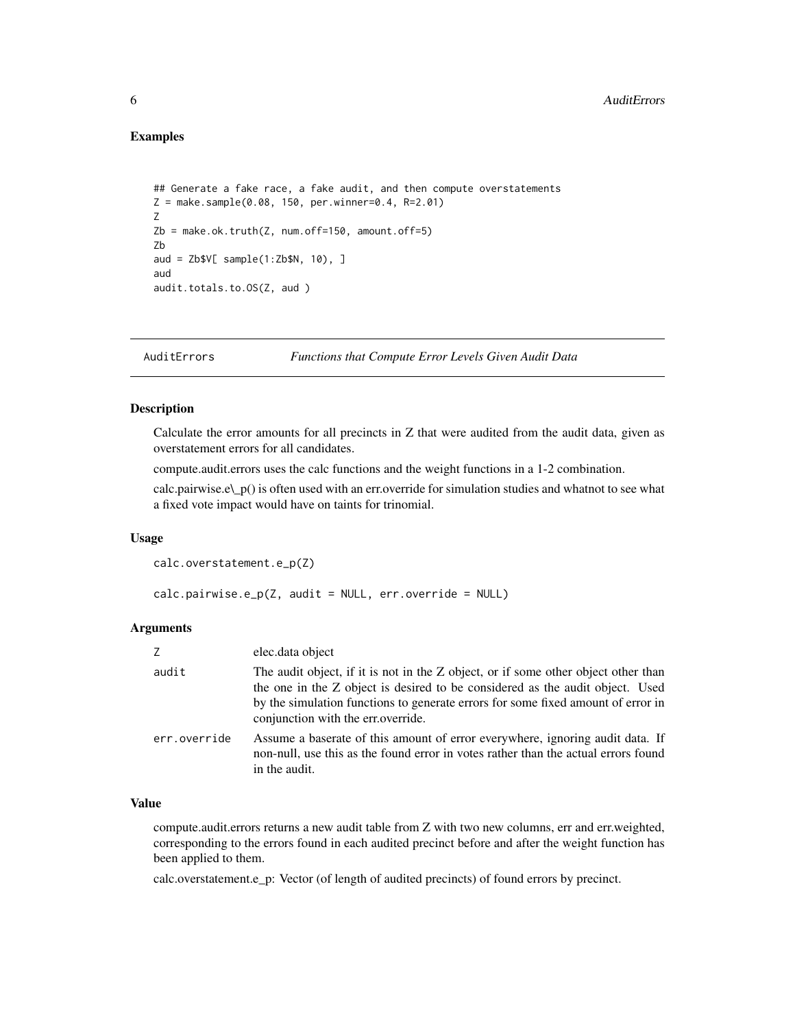### <span id="page-5-0"></span>Examples

```
## Generate a fake race, a fake audit, and then compute overstatements
Z = \text{make.sample}(0.08, 150, \text{per.winner=0.4}, R=2.01)Z
Zb = make.ok.truth(Z, num.off=150, amount.off=5)Zb
aud = Zb$V[ sample(1:Zb$N, 10), ]
aud
audit.totals.to.OS(Z, aud )
```
<span id="page-5-1"></span>AuditErrors *Functions that Compute Error Levels Given Audit Data*

#### **Description**

Calculate the error amounts for all precincts in Z that were audited from the audit data, given as overstatement errors for all candidates.

compute.audit.errors uses the calc functions and the weight functions in a 1-2 combination.

calc.pairwise.e\\_p() is often used with an err.override for simulation studies and whatnot to see what a fixed vote impact would have on taints for trinomial.

#### Usage

calc.overstatement.e\_p(Z)

 $calc.pairwise.e_p(Z, audit = NULL, err.override = NULL)$ 

### Arguments

| Ζ            | elec.data object                                                                                                                                                                                                                                                                              |
|--------------|-----------------------------------------------------------------------------------------------------------------------------------------------------------------------------------------------------------------------------------------------------------------------------------------------|
| audit        | The audit object, if it is not in the Z object, or if some other object other than<br>the one in the Z object is desired to be considered as the audit object. Used<br>by the simulation functions to generate errors for some fixed amount of error in<br>conjunction with the err.override. |
| err.override | Assume a baserate of this amount of error everywhere, ignoring audit data. If<br>non-null, use this as the found error in votes rather than the actual errors found<br>in the audit.                                                                                                          |

### Value

compute.audit.errors returns a new audit table from Z with two new columns, err and err.weighted, corresponding to the errors found in each audited precinct before and after the weight function has been applied to them.

calc.overstatement.e\_p: Vector (of length of audited precincts) of found errors by precinct.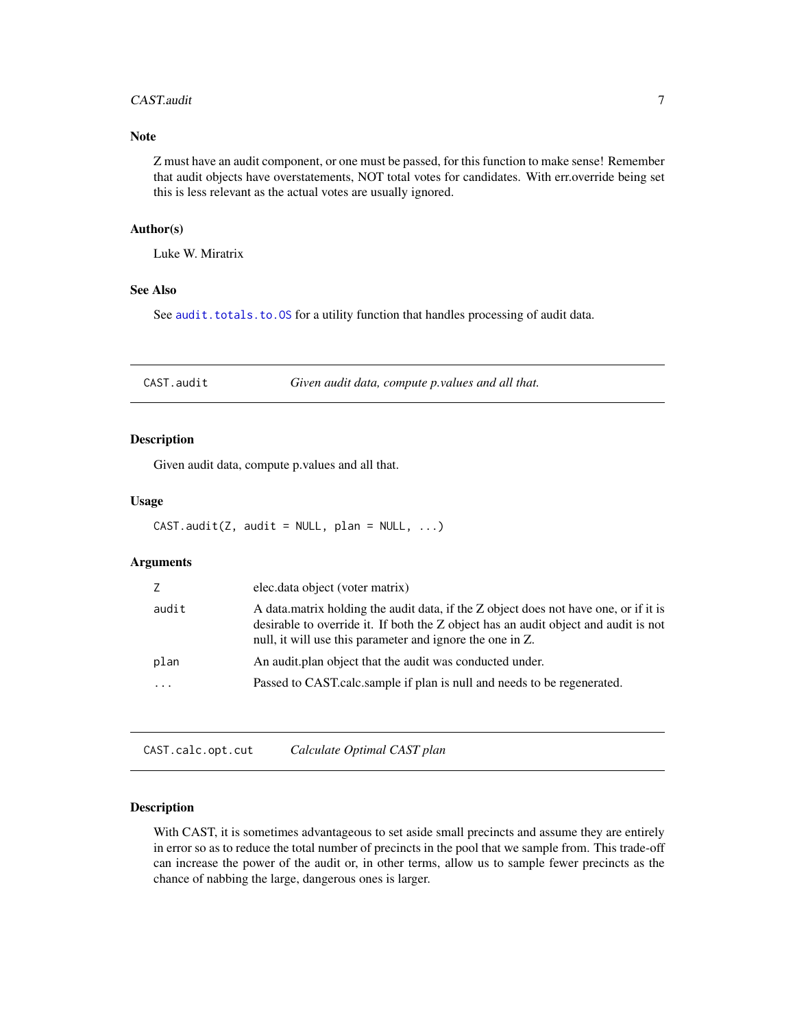#### <span id="page-6-0"></span>CAST.audit 7

#### Note

Z must have an audit component, or one must be passed, for this function to make sense! Remember that audit objects have overstatements, NOT total votes for candidates. With err.override being set this is less relevant as the actual votes are usually ignored.

### Author(s)

Luke W. Miratrix

### See Also

See [audit.totals.to.OS](#page-4-1) for a utility function that handles processing of audit data.

<span id="page-6-1"></span>CAST.audit *Given audit data, compute p.values and all that.*

### Description

Given audit data, compute p.values and all that.

### Usage

 $CAST.audit(Z, audit = NULL, plan = NULL, ...)$ 

#### Arguments

| Z         | elec.data object (voter matrix)                                                                                                                                                                                                          |
|-----------|------------------------------------------------------------------------------------------------------------------------------------------------------------------------------------------------------------------------------------------|
| audit     | A data matrix holding the audit data, if the Z object does not have one, or if it is<br>desirable to override it. If both the Z object has an audit object and audit is not<br>null, it will use this parameter and ignore the one in Z. |
| plan      | An audit plan object that the audit was conducted under.                                                                                                                                                                                 |
| $\ddotsc$ | Passed to CAST.calc.sample if plan is null and needs to be regenerated.                                                                                                                                                                  |

<span id="page-6-2"></span>CAST.calc.opt.cut *Calculate Optimal CAST plan*

### Description

With CAST, it is sometimes advantageous to set aside small precincts and assume they are entirely in error so as to reduce the total number of precincts in the pool that we sample from. This trade-off can increase the power of the audit or, in other terms, allow us to sample fewer precincts as the chance of nabbing the large, dangerous ones is larger.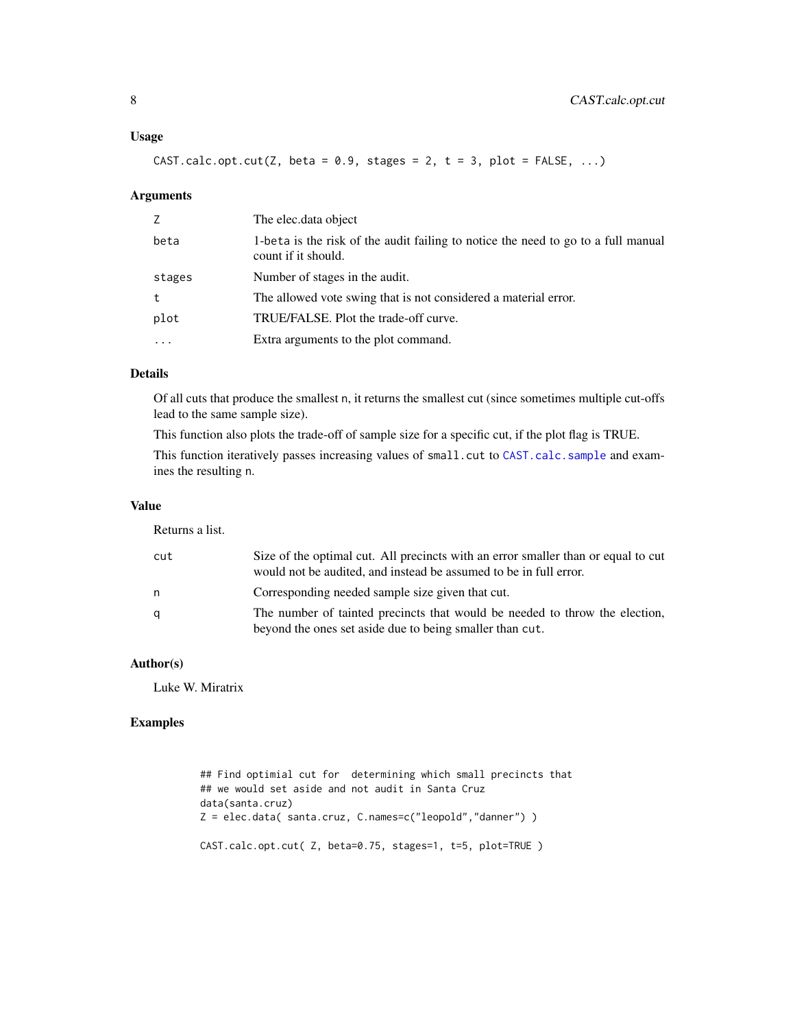#### <span id="page-7-0"></span>Usage

CAST.calc.opt.cut(Z, beta =  $0.9$ , stages =  $2$ , t =  $3$ , plot = FALSE, ...)

#### Arguments

| Z         | The elec.data object                                                                                     |
|-----------|----------------------------------------------------------------------------------------------------------|
| beta      | 1-beta is the risk of the audit failing to notice the need to go to a full manual<br>count if it should. |
| stages    | Number of stages in the audit.                                                                           |
| t         | The allowed vote swing that is not considered a material error.                                          |
| plot      | TRUE/FALSE. Plot the trade-off curve.                                                                    |
| $\ddotsc$ | Extra arguments to the plot command.                                                                     |

### Details

Of all cuts that produce the smallest n, it returns the smallest cut (since sometimes multiple cut-offs lead to the same sample size).

This function also plots the trade-off of sample size for a specific cut, if the plot flag is TRUE.

This function iteratively passes increasing values of small.cut to [CAST.calc.sample](#page-8-1) and examines the resulting n.

#### Value

Returns a list.

| cut | Size of the optimal cut. All precincts with an error smaller than or equal to cut<br>would not be audited, and instead be assumed to be in full error. |
|-----|--------------------------------------------------------------------------------------------------------------------------------------------------------|
| n   | Corresponding needed sample size given that cut.                                                                                                       |
| q   | The number of tainted precincts that would be needed to throw the election,<br>beyond the ones set aside due to being smaller than cut.                |

### Author(s)

Luke W. Miratrix

### Examples

## Find optimial cut for determining which small precincts that ## we would set aside and not audit in Santa Cruz data(santa.cruz) Z = elec.data( santa.cruz, C.names=c("leopold","danner") ) CAST.calc.opt.cut( Z, beta=0.75, stages=1, t=5, plot=TRUE )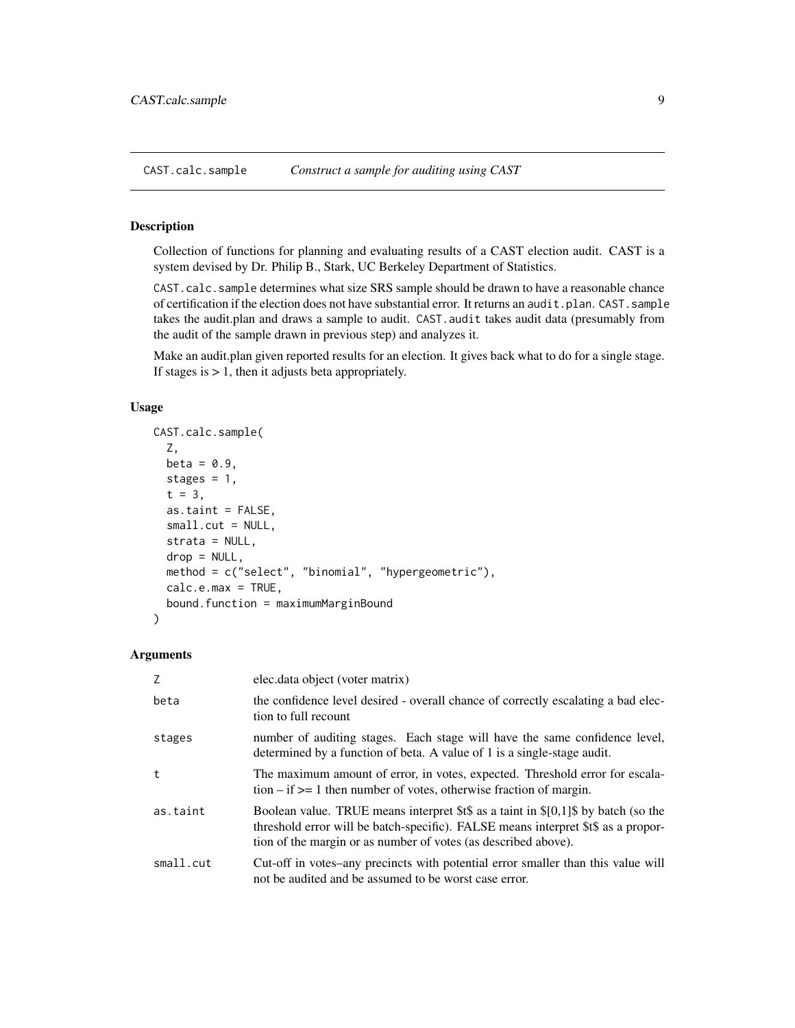<span id="page-8-1"></span><span id="page-8-0"></span>CAST.calc.sample *Construct a sample for auditing using CAST*

#### Description

Collection of functions for planning and evaluating results of a CAST election audit. CAST is a system devised by Dr. Philip B., Stark, UC Berkeley Department of Statistics.

CAST.calc.sample determines what size SRS sample should be drawn to have a reasonable chance of certification if the election does not have substantial error. It returns an audit.plan. CAST.sample takes the audit.plan and draws a sample to audit. CAST.audit takes audit data (presumably from the audit of the sample drawn in previous step) and analyzes it.

Make an audit.plan given reported results for an election. It gives back what to do for a single stage. If stages is  $> 1$ , then it adjusts beta appropriately.

### Usage

```
CAST.calc.sample(
  Z,
 beta = 0.9,
  stages = 1,
  t = 3,
  as.taint = FALSE,
  small.cut = NULL,
  strata = NULL,
  drop = NULL,
 method = c("select", "binomial", "hypergeometric"),
  calc.e.max = TRUE,
  bound.function = maximumMarginBound
)
```
#### Arguments

| Z         | elec.data object (voter matrix)                                                                                                                                                                                                          |
|-----------|------------------------------------------------------------------------------------------------------------------------------------------------------------------------------------------------------------------------------------------|
| beta      | the confidence level desired - overall chance of correctly escalating a bad elec-<br>tion to full recount                                                                                                                                |
| stages    | number of auditing stages. Each stage will have the same confidence level,<br>determined by a function of beta. A value of 1 is a single-stage audit.                                                                                    |
| t         | The maximum amount of error, in votes, expected. Threshold error for escala-<br>$\phi$ tion – if $\epsilon$ = 1 then number of votes, otherwise fraction of margin.                                                                      |
| as.taint  | Boolean value. TRUE means interpret $$t$$ as a taint in $$[0,1]$ by batch (so the<br>threshold error will be batch-specific). FALSE means interpret \$t\$ as a propor-<br>tion of the margin or as number of votes (as described above). |
| small.cut | Cut-off in votes–any precincts with potential error smaller than this value will<br>not be audited and be assumed to be worst case error.                                                                                                |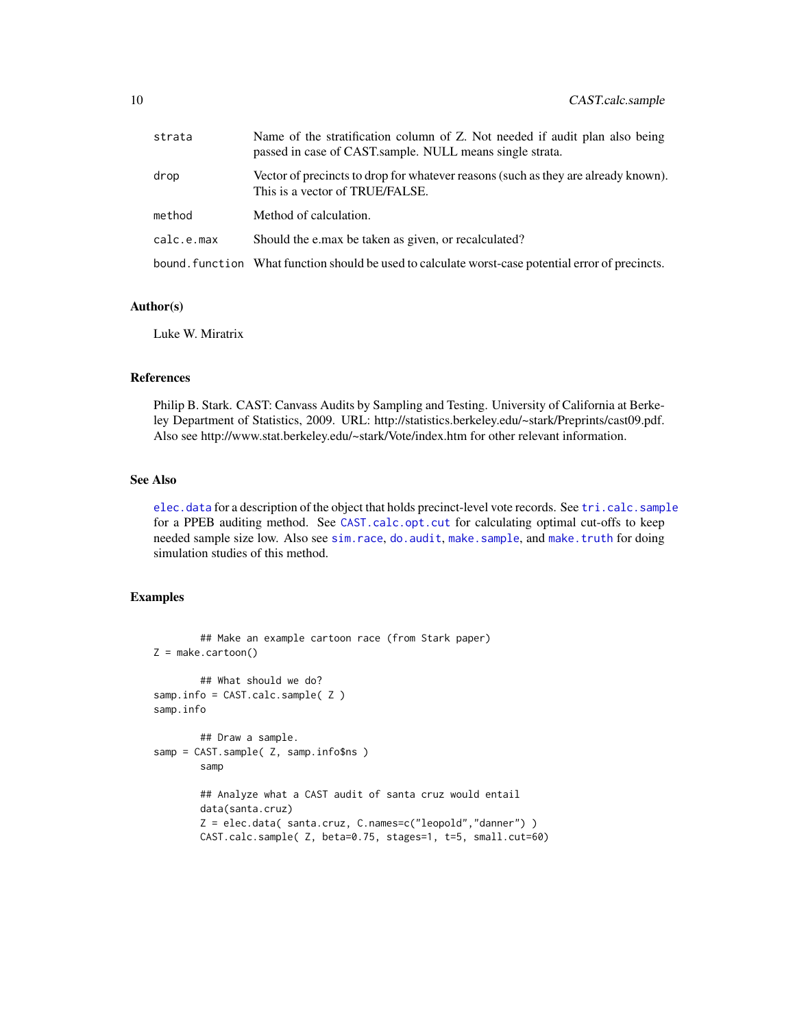<span id="page-9-0"></span>

| strata     | Name of the stratification column of Z. Not needed if audit plan also being<br>passed in case of CAST sample. NULL means single strata. |
|------------|-----------------------------------------------------------------------------------------------------------------------------------------|
| drop       | Vector of precincts to drop for whatever reasons (such as they are already known).<br>This is a vector of TRUE/FALSE.                   |
| method     | Method of calculation.                                                                                                                  |
| calc.e.max | Should the e.max be taken as given, or recalculated?                                                                                    |
|            | bound. function What function should be used to calculate worst-case potential error of precincts.                                      |

#### Author(s)

Luke W. Miratrix

#### References

Philip B. Stark. CAST: Canvass Audits by Sampling and Testing. University of California at Berkeley Department of Statistics, 2009. URL: http://statistics.berkeley.edu/~stark/Preprints/cast09.pdf. Also see http://www.stat.berkeley.edu/~stark/Vote/index.htm for other relevant information.

#### See Also

[elec.data](#page-15-1) for a description of the object that holds precinct-level vote records. See [tri.calc.sample](#page-39-1) for a PPEB auditing method. See [CAST.calc.opt.cut](#page-6-2) for calculating optimal cut-offs to keep needed sample size low. Also see [sim.race](#page-34-1), [do.audit](#page-14-1), [make.sample](#page-26-1), and [make.truth](#page-28-1) for doing simulation studies of this method.

#### Examples

```
## Make an example cartoon race (from Stark paper)
Z = make.cartoon()
        ## What should we do?
samp.info = CAST.calc.sample( Z )
samp.info
        ## Draw a sample.
samp = CAST.sample( Z, samp.info$ns )
        samp
        ## Analyze what a CAST audit of santa cruz would entail
        data(santa.cruz)
        Z = elec.data( santa.cruz, C.names=c("leopold","danner") )
        CAST.calc.sample( Z, beta=0.75, stages=1, t=5, small.cut=60)
```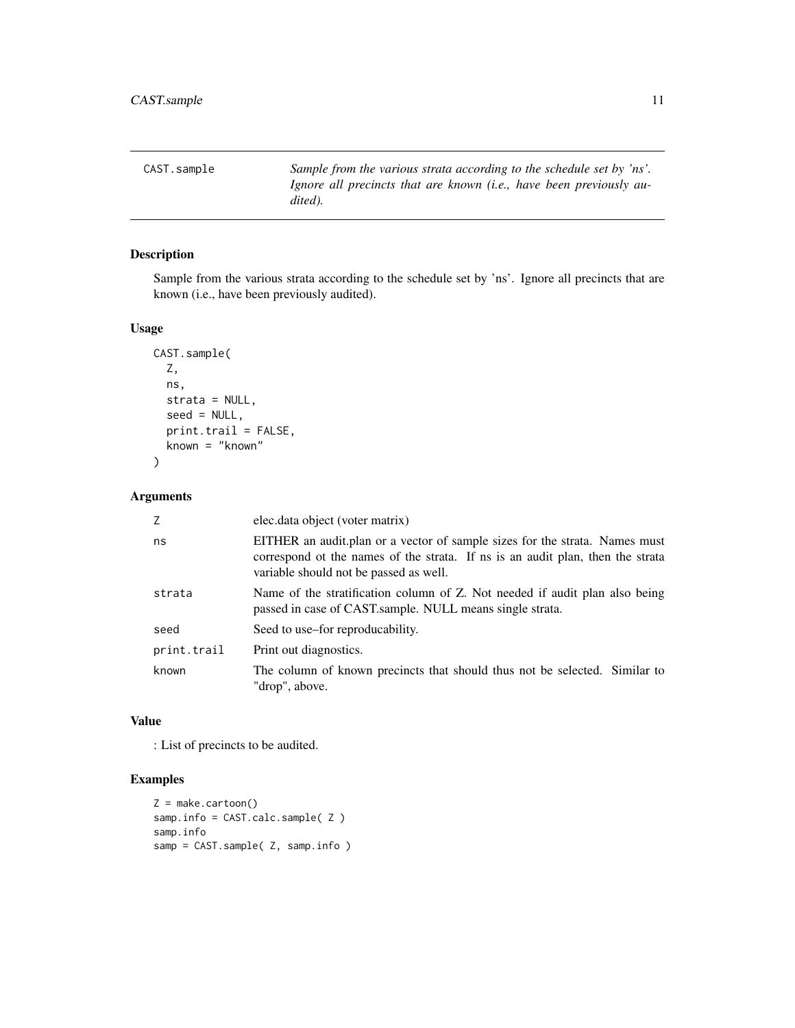<span id="page-10-0"></span>CAST.sample *Sample from the various strata according to the schedule set by 'ns'. Ignore all precincts that are known (i.e., have been previously audited).*

### Description

Sample from the various strata according to the schedule set by 'ns'. Ignore all precincts that are known (i.e., have been previously audited).

### Usage

```
CAST.sample(
  Z,
 ns,
  strata = NULL,
 seed = NULL,
 print.trail = FALSE,
 known = "known"
)
```
#### Arguments

| Z           | elec.data object (voter matrix)                                                                                                                                                                         |
|-------------|---------------------------------------------------------------------------------------------------------------------------------------------------------------------------------------------------------|
| ns          | EITHER an audit.plan or a vector of sample sizes for the strata. Names must<br>correspond ot the names of the strata. If ns is an audit plan, then the strata<br>variable should not be passed as well. |
| strata      | Name of the stratification column of Z. Not needed if audit plan also being<br>passed in case of CAST sample. NULL means single strata.                                                                 |
| seed        | Seed to use–for reproducability.                                                                                                                                                                        |
| print.trail | Print out diagnostics.                                                                                                                                                                                  |
| known       | The column of known precincts that should thus not be selected. Similar to<br>"drop", above.                                                                                                            |

### Value

: List of precincts to be audited.

### Examples

```
Z = make.cartoon()
samp.info = CAST.calc.sample( Z )
samp.info
samp = CAST.sample( Z, samp.info )
```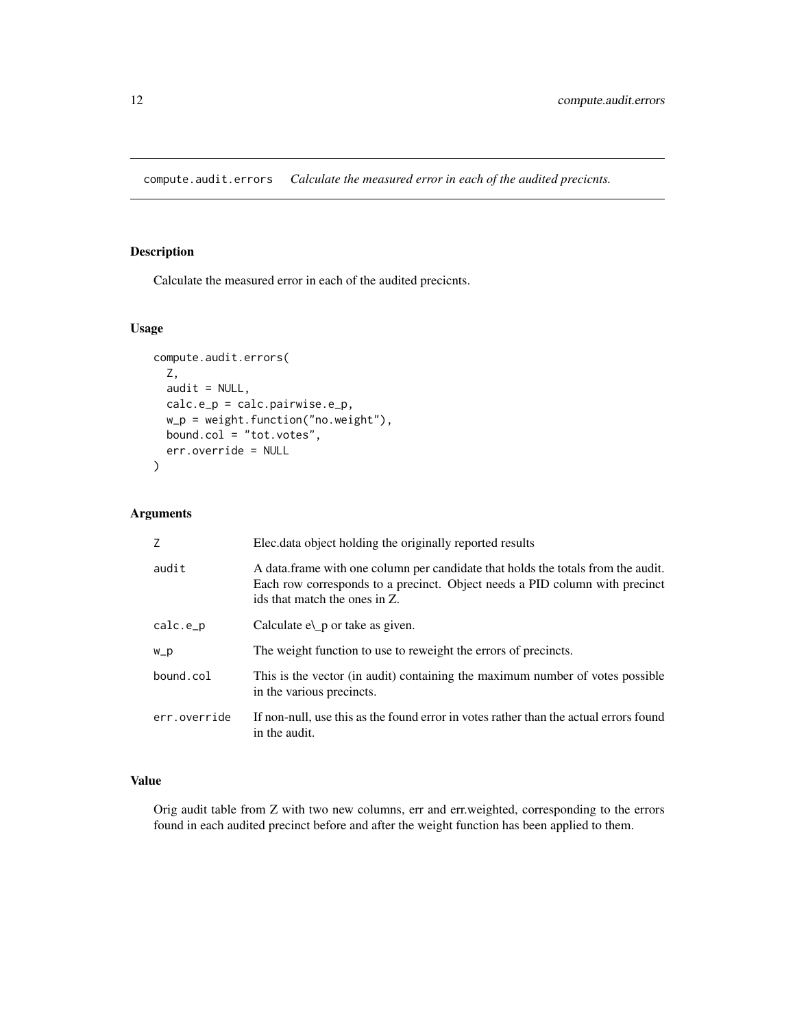<span id="page-11-0"></span>compute.audit.errors *Calculate the measured error in each of the audited precicnts.*

### Description

Calculate the measured error in each of the audited precicnts.

### Usage

```
compute.audit.errors(
  Z,
 audit = NULL,calc.e_p = calc.pairwise.e_p,
 w_p = weight.function("no.weight"),
 bound.col = "tot.votes",
 err.override = NULL
)
```
### Arguments

| Z            | Elec. data object holding the originally reported results                                                                                                                                        |
|--------------|--------------------------------------------------------------------------------------------------------------------------------------------------------------------------------------------------|
| audit        | A data frame with one column per candidate that holds the totals from the audit.<br>Each row corresponds to a precinct. Object needs a PID column with precinct<br>ids that match the ones in Z. |
| calc.e_p     | Calculate $e \_{p}$ or take as given.                                                                                                                                                            |
| $W\_p$       | The weight function to use to reweight the errors of precincts.                                                                                                                                  |
| bound.col    | This is the vector (in audit) containing the maximum number of votes possible<br>in the various precincts.                                                                                       |
| err.override | If non-null, use this as the found error in votes rather than the actual errors found<br>in the audit.                                                                                           |

### Value

Orig audit table from Z with two new columns, err and err.weighted, corresponding to the errors found in each audited precinct before and after the weight function has been applied to them.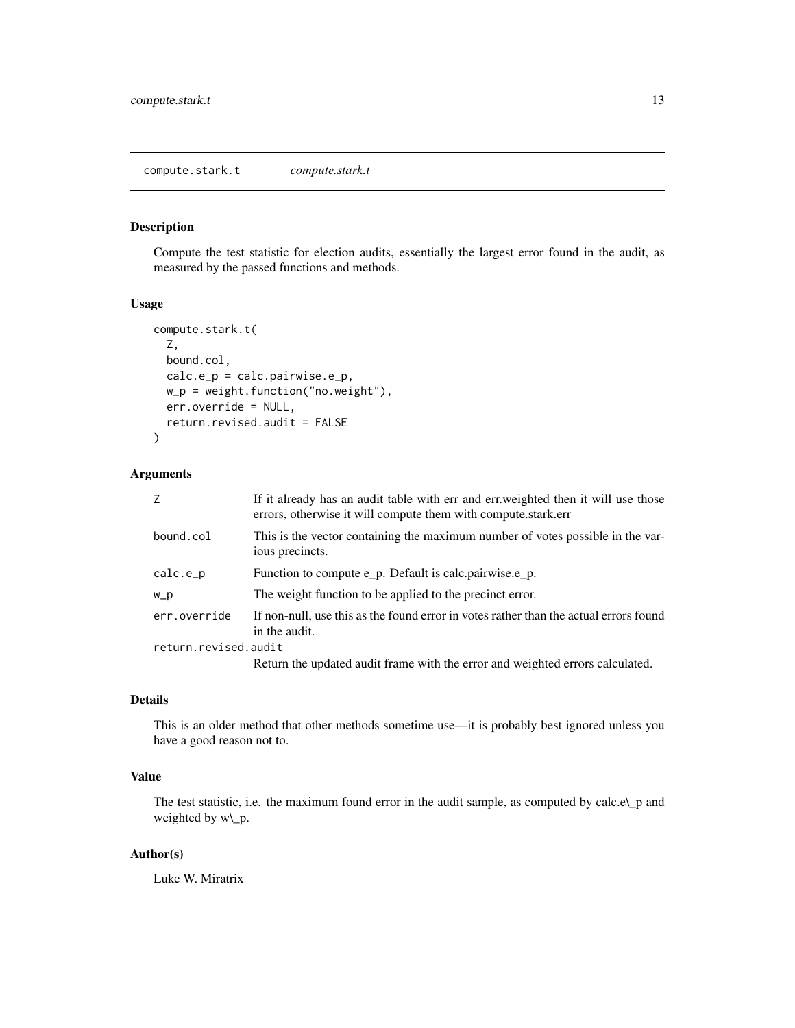### <span id="page-12-1"></span><span id="page-12-0"></span>Description

Compute the test statistic for election audits, essentially the largest error found in the audit, as measured by the passed functions and methods.

#### Usage

```
compute.stark.t(
  Z,
  bound.col,
  calc.e_p = calc.pairwise.e_p,
 w_p = weight.function("no.weight"),
 err.override = NULL,
  return.revised.audit = FALSE
)
```
### Arguments

| $\overline{7}$       | If it already has an audit table with err and err weighted then it will use those<br>errors, otherwise it will compute them with compute stark.err |  |
|----------------------|----------------------------------------------------------------------------------------------------------------------------------------------------|--|
| bound.col            | This is the vector containing the maximum number of votes possible in the var-<br>ious precincts.                                                  |  |
| calc.e_p             | Function to compute e_p. Default is calc.pairwise.e_p.                                                                                             |  |
| $W_p$                | The weight function to be applied to the precinct error.                                                                                           |  |
| err.override         | If non-null, use this as the found error in votes rather than the actual errors found<br>in the audit.                                             |  |
| return.revised.audit |                                                                                                                                                    |  |
|                      | Return the updated audit frame with the error and weighted errors calculated.                                                                      |  |

### Details

This is an older method that other methods sometime use—it is probably best ignored unless you have a good reason not to.

#### Value

The test statistic, i.e. the maximum found error in the audit sample, as computed by calc.e\\_p and weighted by w\\_p.

#### Author(s)

Luke W. Miratrix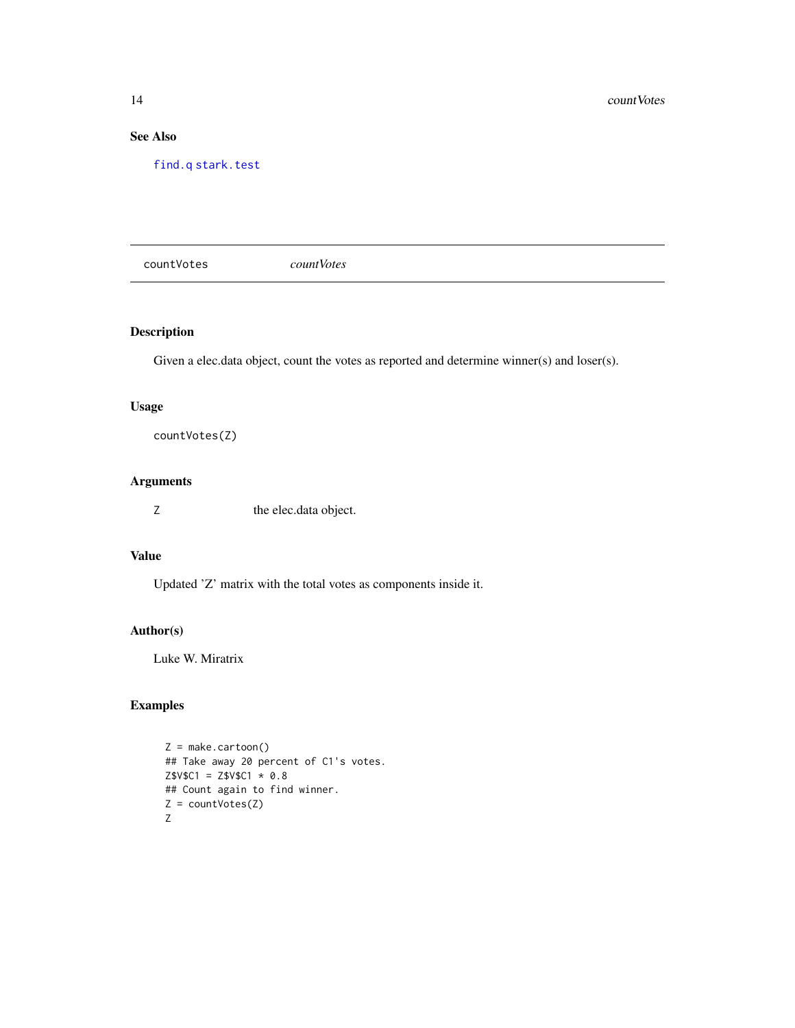### See Also

[find.q](#page-16-1) [stark.test](#page-36-1)

<span id="page-13-1"></span>countVotes *countVotes*

### Description

Given a elec.data object, count the votes as reported and determine winner(s) and loser(s).

### Usage

countVotes(Z)

### Arguments

Z the elec.data object.

### Value

Updated 'Z' matrix with the total votes as components inside it.

#### Author(s)

Luke W. Miratrix

### Examples

```
Z = make.cartoon()
## Take away 20 percent of C1's votes.
Z$V$C1 = Z$V$C1 * 0.8## Count again to find winner.
Z = countVotes(Z)
Z
```
<span id="page-13-0"></span>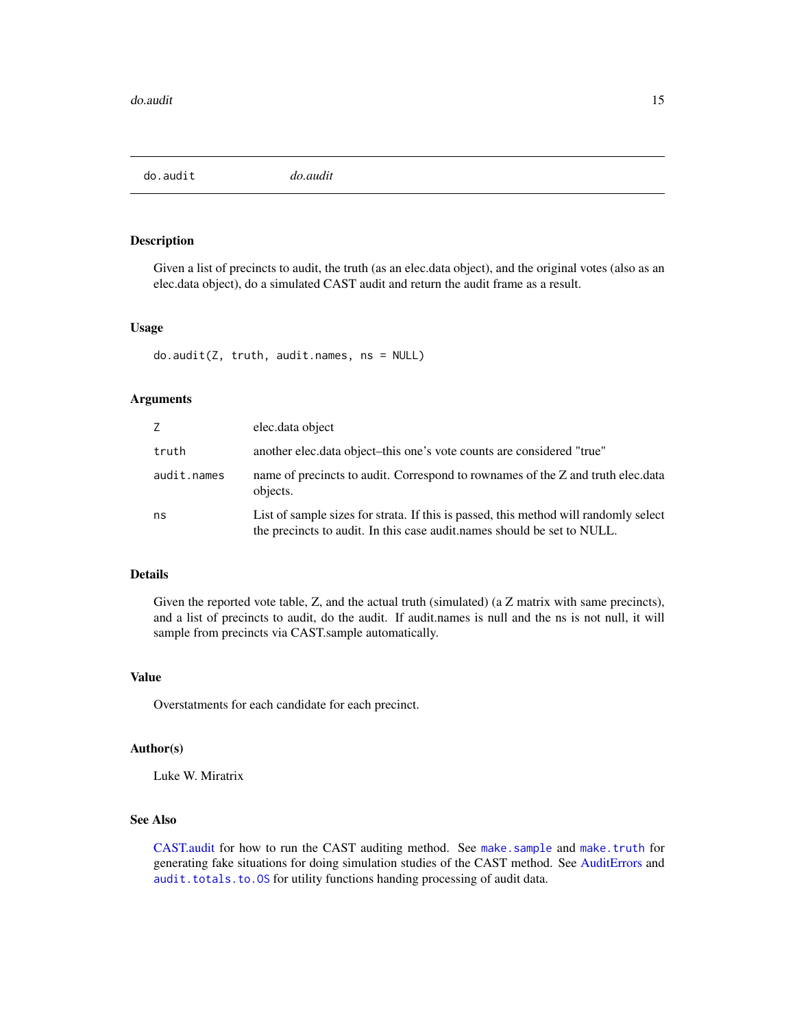<span id="page-14-1"></span><span id="page-14-0"></span>do.audit *do.audit*

#### Description

Given a list of precincts to audit, the truth (as an elec.data object), and the original votes (also as an elec.data object), do a simulated CAST audit and return the audit frame as a result.

#### Usage

do.audit(Z, truth, audit.names, ns = NULL)

### Arguments

| Z.          | elec.data object                                                                                                                                                |
|-------------|-----------------------------------------------------------------------------------------------------------------------------------------------------------------|
| truth       | another electidata object-this one's vote counts are considered "true"                                                                                          |
| audit.names | name of precincts to audit. Correspond to rownames of the Z and truth elec.data<br>objects.                                                                     |
| ns          | List of sample sizes for strata. If this is passed, this method will randomly select<br>the precincts to audit. In this case audit names should be set to NULL. |

### Details

Given the reported vote table, Z, and the actual truth (simulated) (a Z matrix with same precincts), and a list of precincts to audit, do the audit. If audit.names is null and the ns is not null, it will sample from precincts via CAST.sample automatically.

### Value

Overstatments for each candidate for each precinct.

### Author(s)

Luke W. Miratrix

### See Also

[CAST.audit](#page-6-1) for how to run the CAST auditing method. See [make.sample](#page-26-1) and [make.truth](#page-28-1) for generating fake situations for doing simulation studies of the CAST method. See [AuditErrors](#page-5-1) and audit.totals.to.0S for utility functions handing processing of audit data.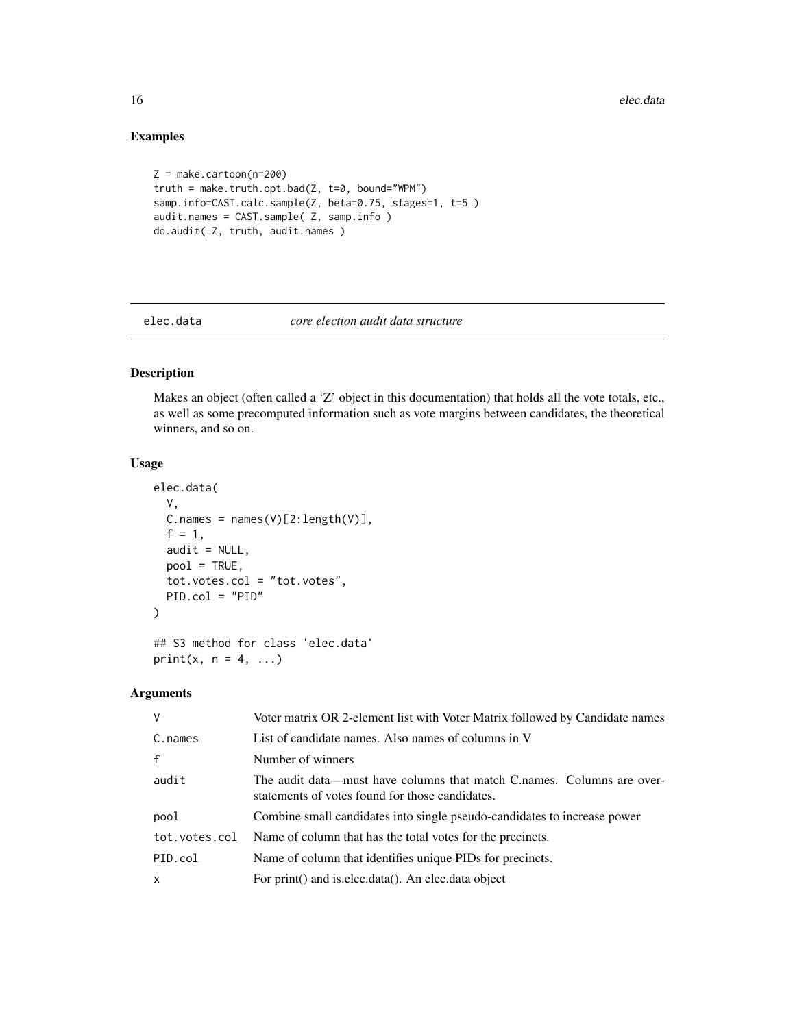16 electron and the contract of the contract of the contract of the electron electron and the electron electron electron and the electron electron electron electron electron electron electron electron electron electron ele

### Examples

```
Z = make.cartoon(n=200)truth = make.truth.opt.bad(Z, t=0, bound="WPM")
samp.info=CAST.calc.sample(Z, beta=0.75, stages=1, t=5 )
audit.names = CAST.sample( Z, samp.info )
do.audit( Z, truth, audit.names )
```
<span id="page-15-1"></span>

### elec.data *core election audit data structure*

### Description

Makes an object (often called a 'Z' object in this documentation) that holds all the vote totals, etc., as well as some precomputed information such as vote margins between candidates, the theoretical winners, and so on.

### Usage

```
elec.data(
 V,
 C.names = names(V)[2:length(V)],f = 1,
 audit = NULL,pool = TRUE,tot.votes.col = "tot.votes",
 PID.col = "PID"
)
## S3 method for class 'elec.data'
print(x, n = 4, ...)
```
### Arguments

| $\vee$        | Voter matrix OR 2-element list with Voter Matrix followed by Candidate names                                              |
|---------------|---------------------------------------------------------------------------------------------------------------------------|
| C.names       | List of candidate names. Also names of columns in V                                                                       |
| $\mathsf{f}$  | Number of winners                                                                                                         |
| audit         | The audit data—must have columns that match C.names. Columns are over-<br>statements of votes found for those candidates. |
| pool          | Combine small candidates into single pseudo-candidates to increase power                                                  |
| tot.votes.col | Name of column that has the total votes for the precincts.                                                                |
| PID.col       | Name of column that identifies unique PIDs for precincts.                                                                 |
| $\mathsf{x}$  | For print() and is elec.data(). An elec.data object                                                                       |

<span id="page-15-0"></span>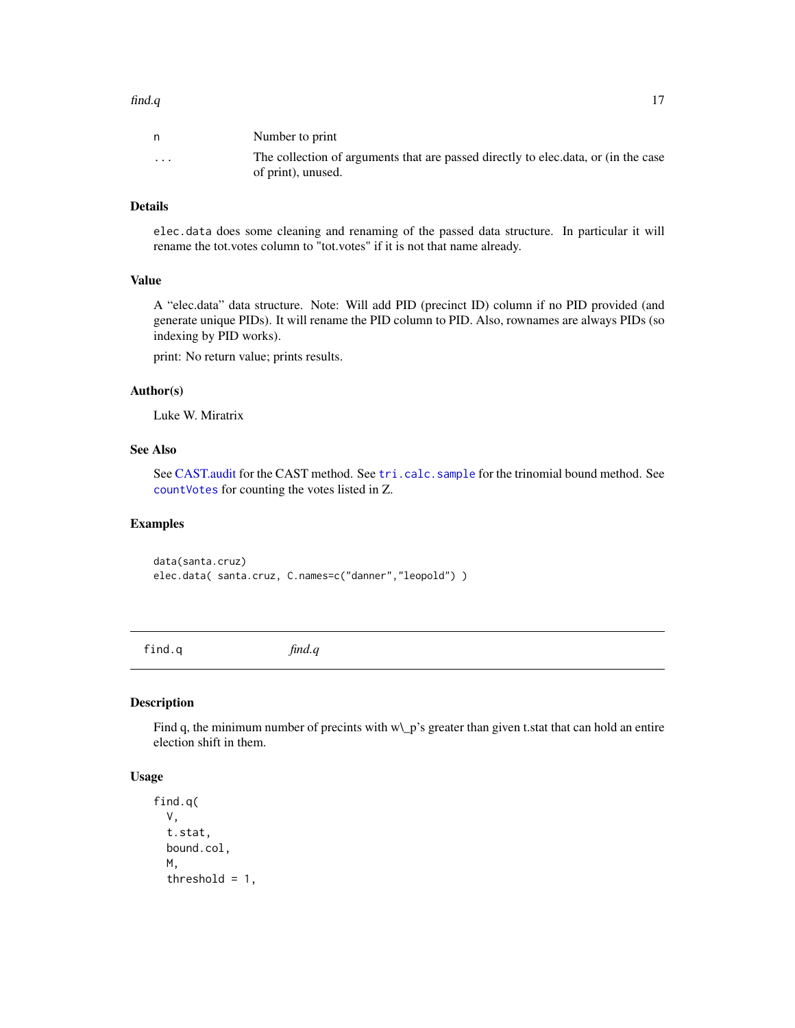#### <span id="page-16-0"></span> $\int$  find.q  $\int$  17

| n        | Number to print                                                                                          |
|----------|----------------------------------------------------------------------------------------------------------|
| $\cdots$ | The collection of arguments that are passed directly to elec.data, or (in the case<br>of print), unused. |

### Details

elec.data does some cleaning and renaming of the passed data structure. In particular it will rename the tot.votes column to "tot.votes" if it is not that name already.

#### Value

A "elec.data" data structure. Note: Will add PID (precinct ID) column if no PID provided (and generate unique PIDs). It will rename the PID column to PID. Also, rownames are always PIDs (so indexing by PID works).

print: No return value; prints results.

#### Author(s)

Luke W. Miratrix

### See Also

See [CAST.audit](#page-6-1) for the CAST method. See [tri.calc.sample](#page-39-1) for the trinomial bound method. See [countVotes](#page-13-1) for counting the votes listed in Z.

#### Examples

data(santa.cruz) elec.data( santa.cruz, C.names=c("danner","leopold") )

<span id="page-16-1"></span>find.q *find.q*

#### Description

Find q, the minimum number of precints with w\\_p's greater than given t.stat that can hold an entire election shift in them.

#### Usage

```
find.q(
 V,
  t.stat,
 bound.col,
 M,
  threshold = 1,
```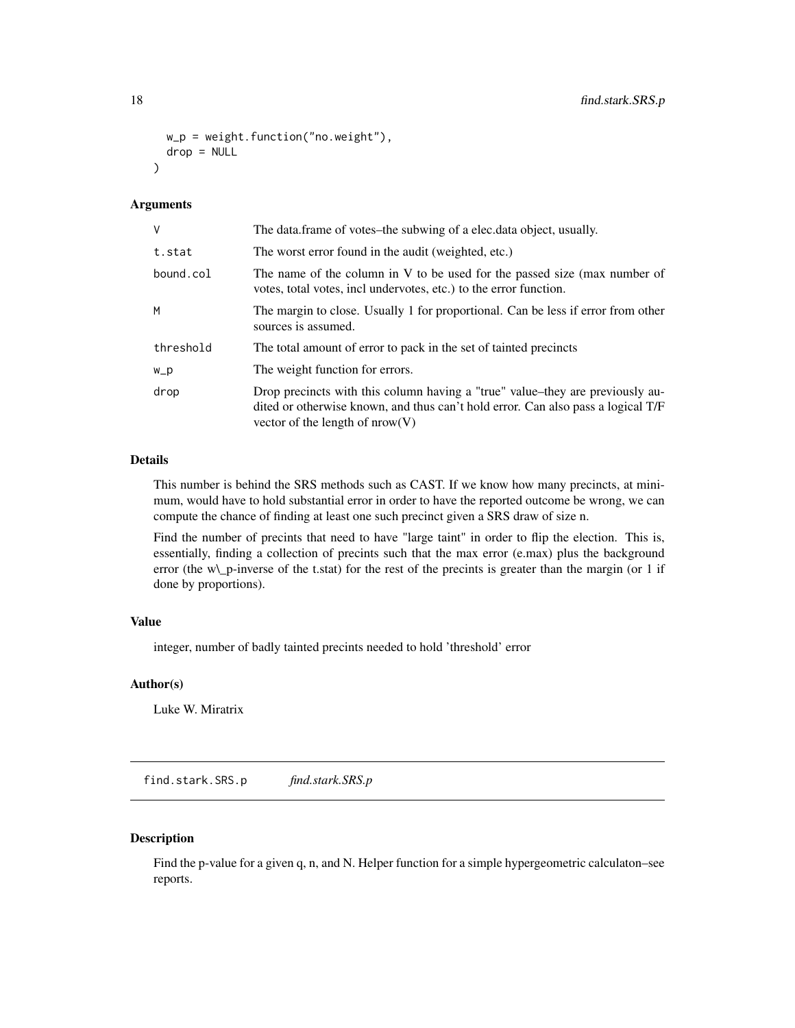```
w_p = weight.function("no.weight"),
drop = NULL
```
#### Arguments

 $\lambda$ 

| V         | The data.frame of votes-the subwing of a elec.data object, usually.                                                                                                                                    |
|-----------|--------------------------------------------------------------------------------------------------------------------------------------------------------------------------------------------------------|
| t.stat    | The worst error found in the audit (weighted, etc.)                                                                                                                                                    |
| bound.col | The name of the column in V to be used for the passed size (max number of<br>votes, total votes, incl undervotes, etc.) to the error function.                                                         |
| М         | The margin to close. Usually 1 for proportional. Can be less if error from other<br>sources is assumed.                                                                                                |
| threshold | The total amount of error to pack in the set of tainted precincts                                                                                                                                      |
| w_p       | The weight function for errors.                                                                                                                                                                        |
| drop      | Drop precincts with this column having a "true" value-they are previously au-<br>dited or otherwise known, and thus can't hold error. Can also pass a logical T/F<br>vector of the length of $nrow(V)$ |

### Details

This number is behind the SRS methods such as CAST. If we know how many precincts, at minimum, would have to hold substantial error in order to have the reported outcome be wrong, we can compute the chance of finding at least one such precinct given a SRS draw of size n.

Find the number of precints that need to have "large taint" in order to flip the election. This is, essentially, finding a collection of precints such that the max error (e.max) plus the background error (the w\\_p-inverse of the t.stat) for the rest of the precints is greater than the margin (or 1 if done by proportions).

### Value

integer, number of badly tainted precints needed to hold 'threshold' error

### Author(s)

Luke W. Miratrix

<span id="page-17-1"></span>find.stark.SRS.p *find.stark.SRS.p*

### Description

Find the p-value for a given q, n, and N. Helper function for a simple hypergeometric calculaton–see reports.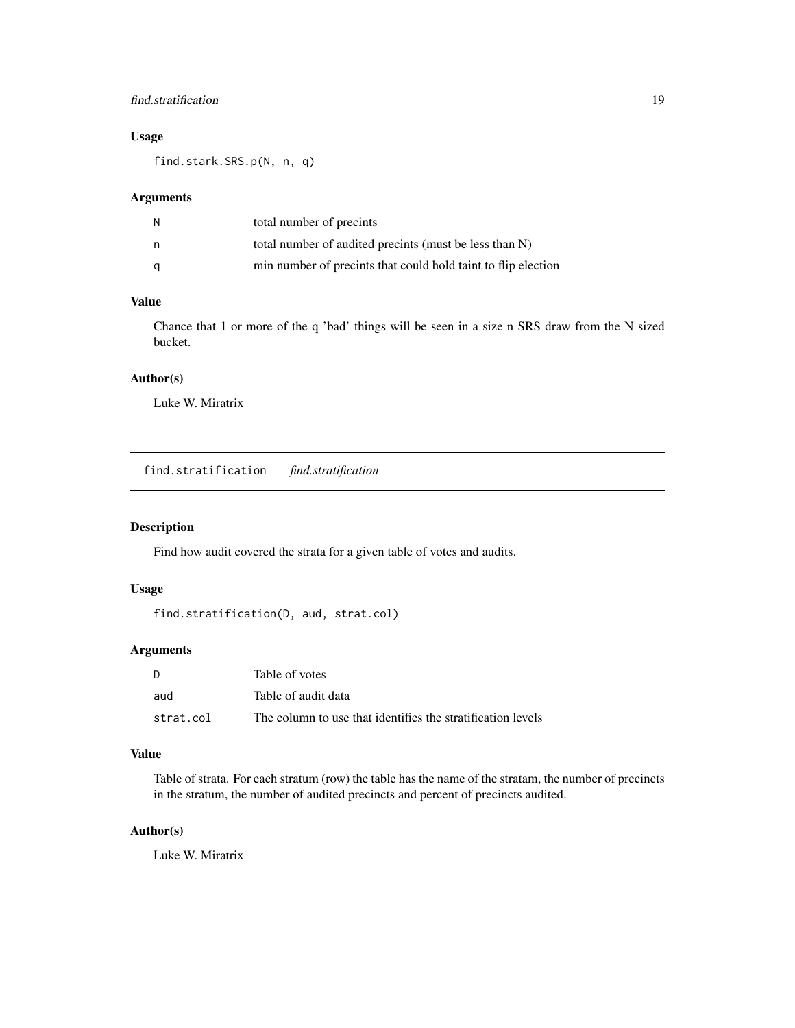### <span id="page-18-0"></span>find.stratification 19

### Usage

find.stark.SRS.p(N, n, q)

#### Arguments

| N | total number of precints                                      |
|---|---------------------------------------------------------------|
| n | total number of audited precints (must be less than N)        |
| a | min number of precints that could hold taint to flip election |

### Value

Chance that 1 or more of the q 'bad' things will be seen in a size n SRS draw from the N sized bucket.

### Author(s)

Luke W. Miratrix

<span id="page-18-1"></span>find.stratification *find.stratification*

### Description

Find how audit covered the strata for a given table of votes and audits.

### Usage

```
find.stratification(D, aud, strat.col)
```
### Arguments

| - D       | Table of votes                                              |
|-----------|-------------------------------------------------------------|
| aud       | Table of audit data                                         |
| strat.col | The column to use that identifies the stratification levels |

### Value

Table of strata. For each stratum (row) the table has the name of the stratam, the number of precincts in the stratum, the number of audited precincts and percent of precincts audited.

### Author(s)

Luke W. Miratrix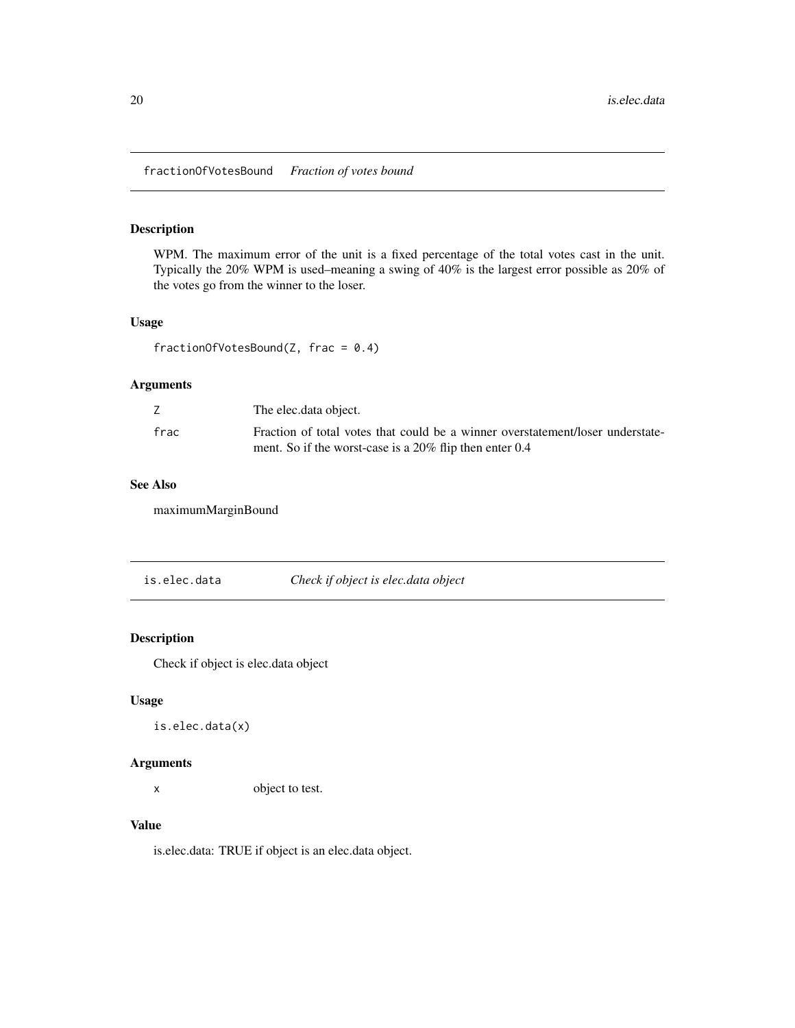<span id="page-19-0"></span>fractionOfVotesBound *Fraction of votes bound*

### Description

WPM. The maximum error of the unit is a fixed percentage of the total votes cast in the unit. Typically the 20% WPM is used–meaning a swing of 40% is the largest error possible as 20% of the votes go from the winner to the loser.

#### Usage

fractionOfVotesBound(Z, frac = 0.4)

### Arguments

|      | The elec.data object.                                                                                                                        |
|------|----------------------------------------------------------------------------------------------------------------------------------------------|
| frac | Fraction of total votes that could be a winner overstatement/loser understate-<br>ment. So if the worst-case is a $20\%$ flip then enter 0.4 |

### See Also

maximumMarginBound

is.elec.data *Check if object is elec.data object*

### Description

Check if object is elec.data object

### Usage

is.elec.data(x)

### Arguments

x object to test.

#### Value

is.elec.data: TRUE if object is an elec.data object.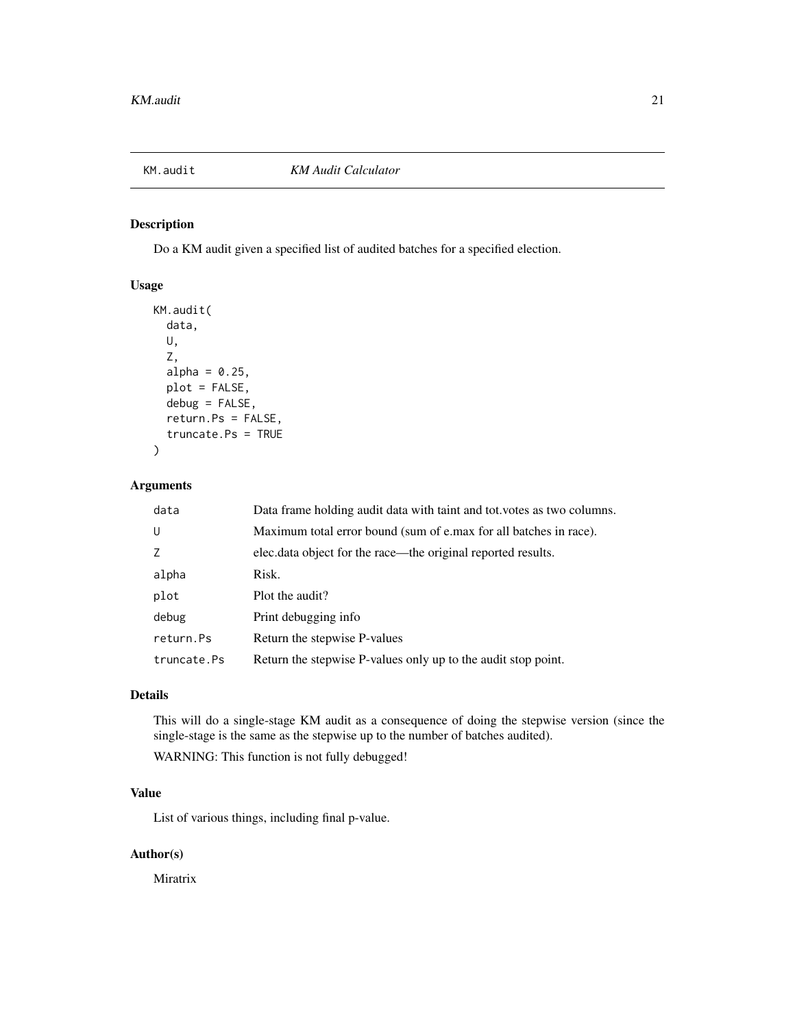<span id="page-20-1"></span><span id="page-20-0"></span>

### Description

Do a KM audit given a specified list of audited batches for a specified election.

### Usage

```
KM.audit(
  data,
  U,
  Z,
  alpha = 0.25,
 plot = FALSE,
  debug = FALSE,
  return.Ps = FALSE,
  truncate.Ps = TRUE
)
```
### Arguments

| data        | Data frame holding audit data with taint and tot votes as two columns. |
|-------------|------------------------------------------------------------------------|
| U           | Maximum total error bound (sum of e.max for all batches in race).      |
| 7           | elec. data object for the race—the original reported results.          |
| alpha       | Risk.                                                                  |
| plot        | Plot the audit?                                                        |
| debug       | Print debugging info                                                   |
| return.Ps   | Return the stepwise P-values                                           |
| truncate.Ps | Return the stepwise P-values only up to the audit stop point.          |

### Details

This will do a single-stage KM audit as a consequence of doing the stepwise version (since the single-stage is the same as the stepwise up to the number of batches audited).

WARNING: This function is not fully debugged!

### Value

List of various things, including final p-value.

### Author(s)

Miratrix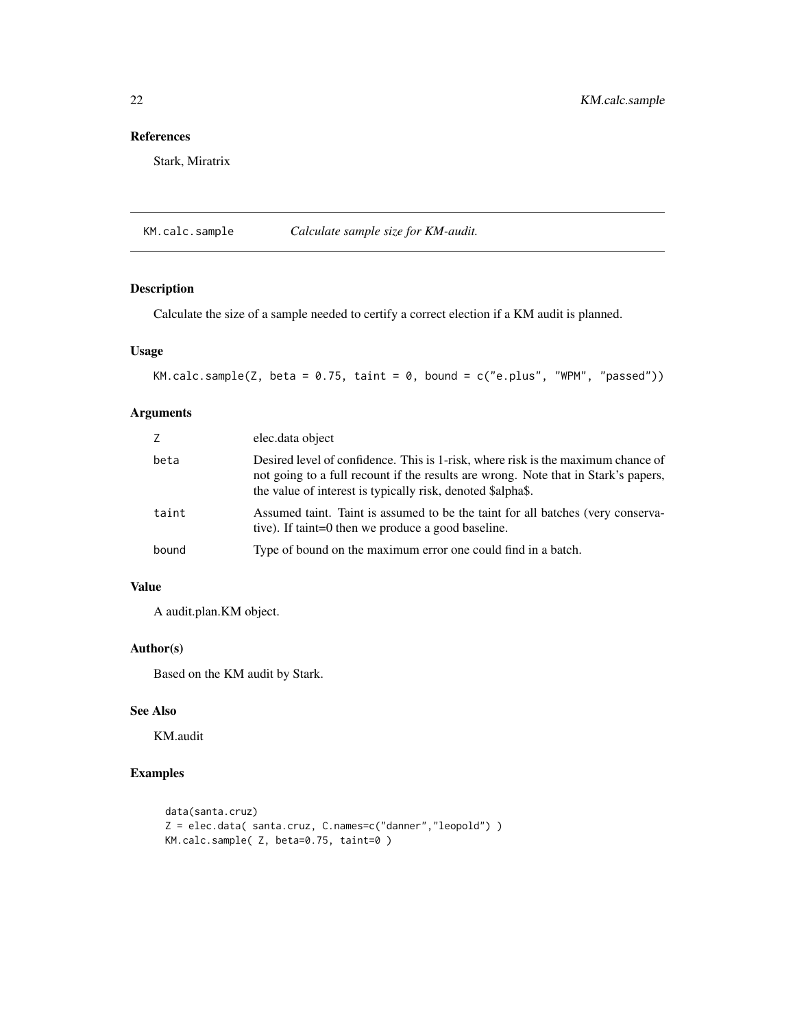### References

Stark, Miratrix

<span id="page-21-1"></span>KM.calc.sample *Calculate sample size for KM-audit.*

### Description

Calculate the size of a sample needed to certify a correct election if a KM audit is planned.

### Usage

```
KM.calc.sample(Z, beta = 0.75, taint = 0, bound = c("e.plus", "WPM", "passed"))
```
### Arguments

| Z     | elec.data object                                                                                                                                                                                                                      |
|-------|---------------------------------------------------------------------------------------------------------------------------------------------------------------------------------------------------------------------------------------|
| beta  | Desired level of confidence. This is 1-risk, where risk is the maximum chance of<br>not going to a full recount if the results are wrong. Note that in Stark's papers,<br>the value of interest is typically risk, denoted \$alpha\$. |
| taint | Assumed taint. Taint is assumed to be the taint for all batches (very conserva-<br>tive). If taint=0 then we produce a good baseline.                                                                                                 |
| bound | Type of bound on the maximum error one could find in a batch.                                                                                                                                                                         |

### Value

A audit.plan.KM object.

### Author(s)

Based on the KM audit by Stark.

#### See Also

KM.audit

### Examples

```
data(santa.cruz)
Z = elec.data( santa.cruz, C.names=c("danner","leopold") )
KM.calc.sample( Z, beta=0.75, taint=0 )
```
<span id="page-21-0"></span>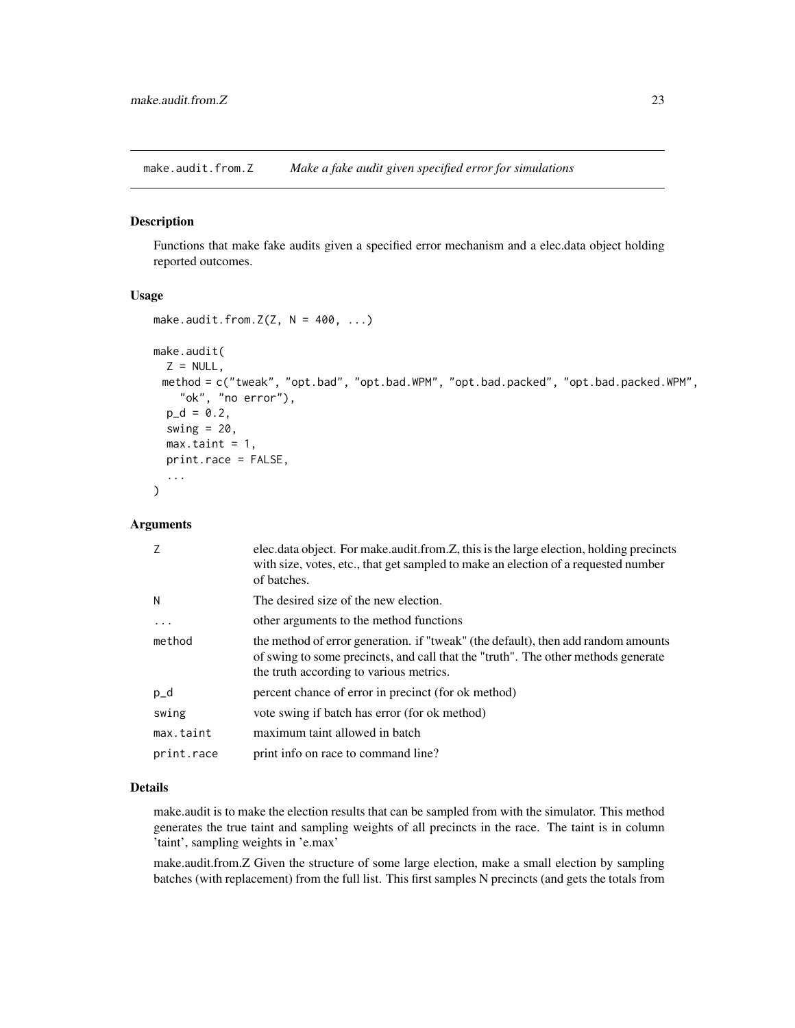<span id="page-22-0"></span>make.audit.from.Z *Make a fake audit given specified error for simulations*

#### Description

Functions that make fake audits given a specified error mechanism and a elec.data object holding reported outcomes.

#### Usage

```
make.audit.from.Z(Z, N = 400, ...)make.audit(
 Z = NULL,method = c("tweak", "opt.bad", "opt.bad.WPM", "opt.bad.packed", "opt.bad.packed.WPM",
    "ok", "no error"),
 p_d = 0.2,
  swing = 20,
 max.taint = 1,
 print.race = FALSE,
  ...
)
```
### Arguments

| 7          | elec.data object. For make.audit.from.Z, this is the large election, holding precincts<br>with size, votes, etc., that get sampled to make an election of a requested number<br>of batches.                       |
|------------|-------------------------------------------------------------------------------------------------------------------------------------------------------------------------------------------------------------------|
| N          | The desired size of the new election.                                                                                                                                                                             |
| $\ddotsc$  | other arguments to the method functions                                                                                                                                                                           |
| method     | the method of error generation. if "tweak" (the default), then add random amounts<br>of swing to some precincts, and call that the "truth". The other methods generate<br>the truth according to various metrics. |
| $p_d$      | percent chance of error in precinct (for ok method)                                                                                                                                                               |
| swing      | vote swing if batch has error (for ok method)                                                                                                                                                                     |
| max.taint  | maximum taint allowed in batch                                                                                                                                                                                    |
| print.race | print info on race to command line?                                                                                                                                                                               |

#### Details

make.audit is to make the election results that can be sampled from with the simulator. This method generates the true taint and sampling weights of all precincts in the race. The taint is in column 'taint', sampling weights in 'e.max'

make.audit.from.Z Given the structure of some large election, make a small election by sampling batches (with replacement) from the full list. This first samples N precincts (and gets the totals from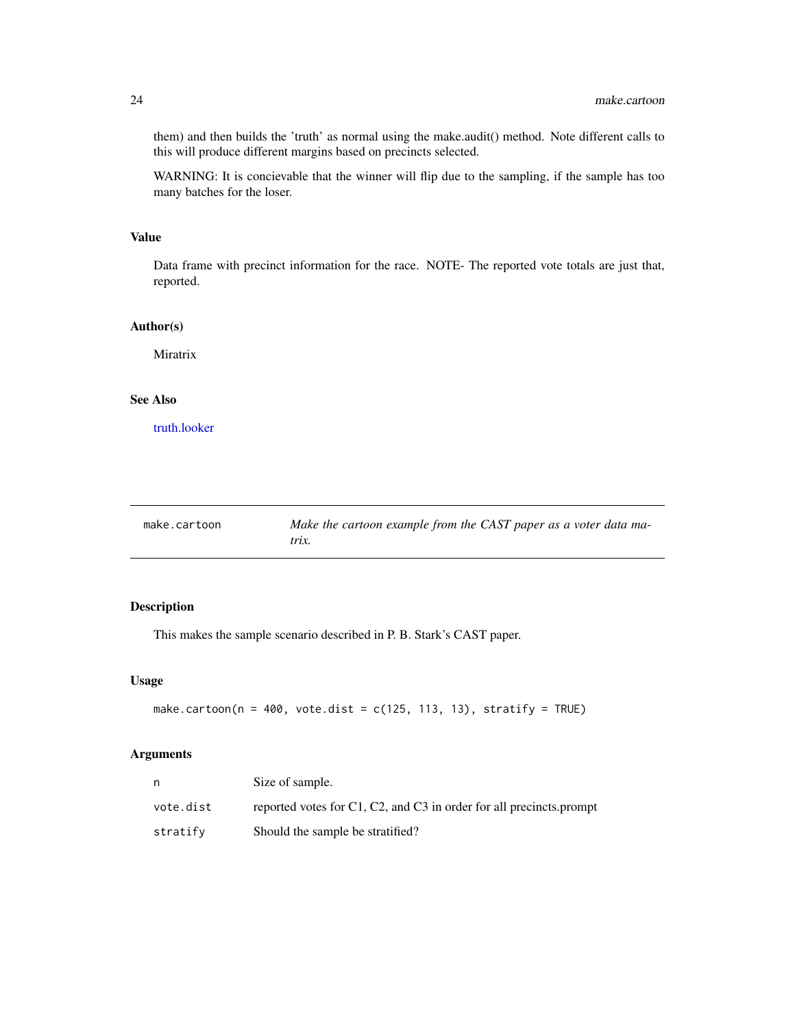them) and then builds the 'truth' as normal using the make.audit() method. Note different calls to this will produce different margins based on precincts selected.

WARNING: It is concievable that the winner will flip due to the sampling, if the sample has too many batches for the loser.

### Value

Data frame with precinct information for the race. NOTE- The reported vote totals are just that, reported.

#### Author(s)

Miratrix

### See Also

[truth.looker](#page-46-1)

<span id="page-23-1"></span>

| make.cartoon | Make the cartoon example from the CAST paper as a voter data ma- |
|--------------|------------------------------------------------------------------|
|              | trix.                                                            |

### Description

This makes the sample scenario described in P. B. Stark's CAST paper.

#### Usage

```
make.cartoon(n = 400, vote.dist = c(125, 113, 13), stratify = TRUE)
```
### Arguments

|           | Size of sample.                                                     |
|-----------|---------------------------------------------------------------------|
| vote.dist | reported votes for C1, C2, and C3 in order for all precincts prompt |
| stratify  | Should the sample be stratified?                                    |

<span id="page-23-0"></span>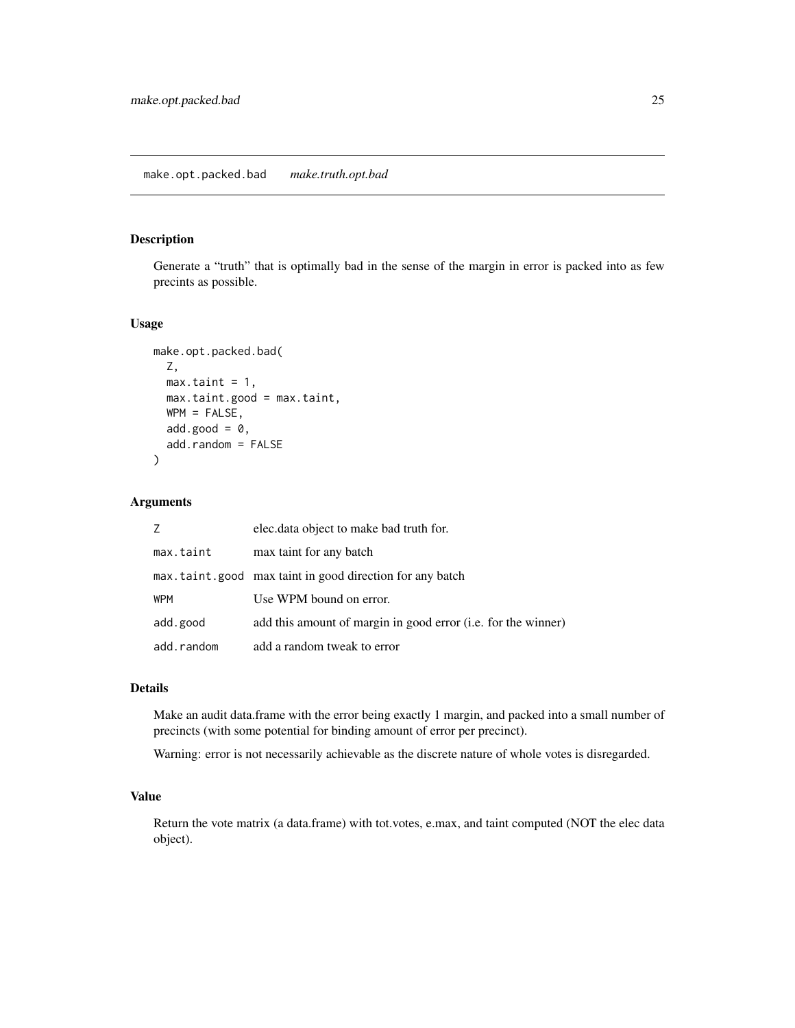### <span id="page-24-0"></span>Description

Generate a "truth" that is optimally bad in the sense of the margin in error is packed into as few precints as possible.

### Usage

```
make.opt.packed.bad(
  Z,
 max.taint = 1,
 max.taint.good = max.taint,
 WPM = FALSE,add.good = 0,
  add.random = FALSE
\lambda
```
### Arguments

| Ζ          | elec. data object to make bad truth for.                      |
|------------|---------------------------------------------------------------|
| max.taint  | max taint for any batch                                       |
|            | max.taint.good max taint in good direction for any batch      |
| <b>WPM</b> | Use WPM bound on error.                                       |
| add.good   | add this amount of margin in good error (i.e. for the winner) |
| add.random | add a random tweak to error                                   |

#### Details

Make an audit data.frame with the error being exactly 1 margin, and packed into a small number of precincts (with some potential for binding amount of error per precinct).

Warning: error is not necessarily achievable as the discrete nature of whole votes is disregarded.

### Value

Return the vote matrix (a data.frame) with tot.votes, e.max, and taint computed (NOT the elec data object).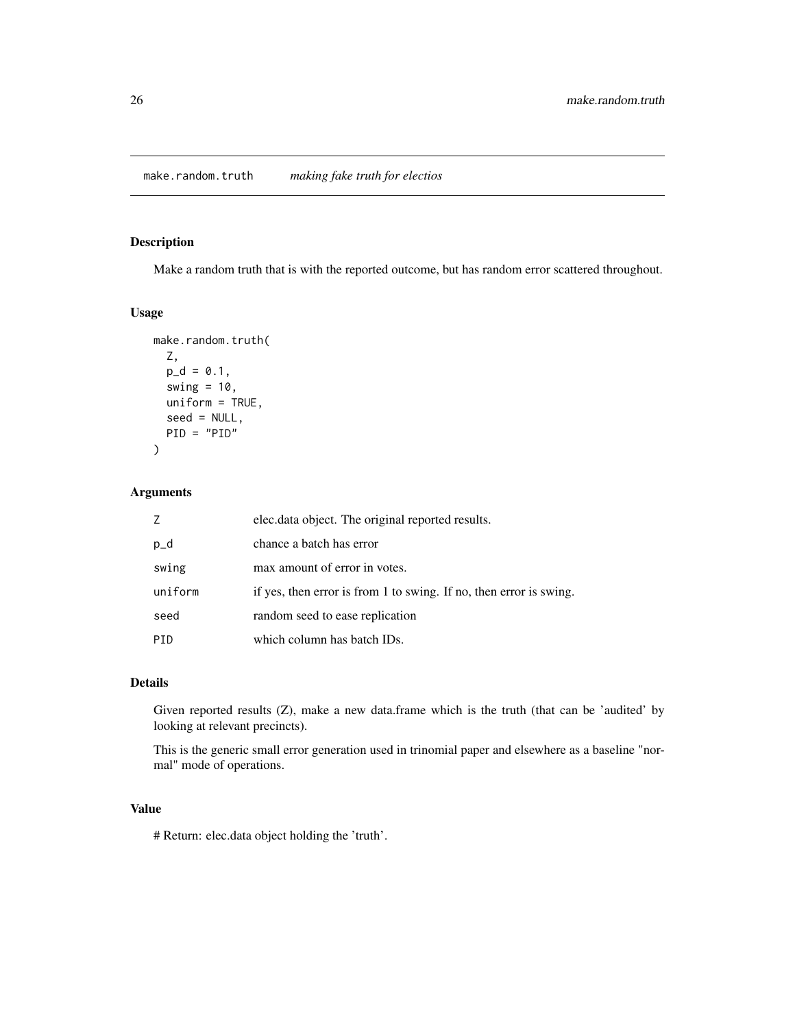<span id="page-25-0"></span>make.random.truth *making fake truth for electios*

### Description

Make a random truth that is with the reported outcome, but has random error scattered throughout.

### Usage

```
make.random.truth(
  Z,
 p_d = 0.1,
  swing = 10,
 uniform = TRUE,
  seed = NULL,
 PID = "PID"
)
```
### Arguments

| Z       | elec.data object. The original reported results.                   |
|---------|--------------------------------------------------------------------|
| $p_d$   | chance a batch has error                                           |
| swing   | max amount of error in votes.                                      |
| uniform | if yes, then error is from 1 to swing. If no, then error is swing. |
| seed    | random seed to ease replication                                    |
| PID     | which column has batch IDs.                                        |

#### Details

Given reported results (Z), make a new data.frame which is the truth (that can be 'audited' by looking at relevant precincts).

This is the generic small error generation used in trinomial paper and elsewhere as a baseline "normal" mode of operations.

#### Value

# Return: elec.data object holding the 'truth'.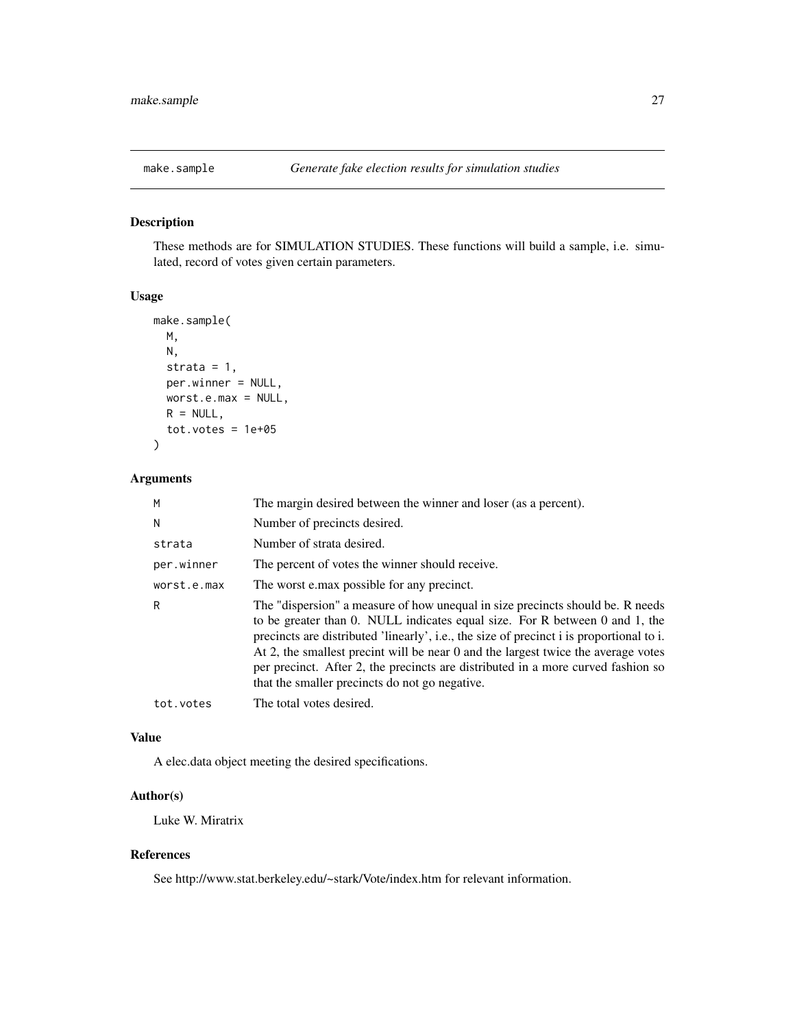<span id="page-26-1"></span><span id="page-26-0"></span>

#### Description

These methods are for SIMULATION STUDIES. These functions will build a sample, i.e. simulated, record of votes given certain parameters.

### Usage

```
make.sample(
  M,
  N,
  strata = 1,
  per.winner = NULL,
  worst.e.max = NULL,
  R = NULL,tot.votes = 1e+05\mathcal{E}
```
### Arguments

| M           | The margin desired between the winner and loser (as a percent).                                                                                                                                                                                                                                                                                                                                                                                                                      |
|-------------|--------------------------------------------------------------------------------------------------------------------------------------------------------------------------------------------------------------------------------------------------------------------------------------------------------------------------------------------------------------------------------------------------------------------------------------------------------------------------------------|
| Ν           | Number of precincts desired.                                                                                                                                                                                                                                                                                                                                                                                                                                                         |
| strata      | Number of strata desired.                                                                                                                                                                                                                                                                                                                                                                                                                                                            |
| per.winner  | The percent of votes the winner should receive.                                                                                                                                                                                                                                                                                                                                                                                                                                      |
| worst.e.max | The worst e.max possible for any precinct.                                                                                                                                                                                                                                                                                                                                                                                                                                           |
| R           | The "dispersion" a measure of how unequal in size precincts should be. R needs<br>to be greater than 0. NULL indicates equal size. For R between 0 and 1, the<br>precincts are distributed 'linearly', i.e., the size of precinct i is proportional to i.<br>At 2, the smallest precint will be near 0 and the largest twice the average votes<br>per precinct. After 2, the precincts are distributed in a more curved fashion so<br>that the smaller precincts do not go negative. |
| tot.votes   | The total votes desired.                                                                                                                                                                                                                                                                                                                                                                                                                                                             |

### Value

A elec.data object meeting the desired specifications.

### Author(s)

Luke W. Miratrix

### References

See http://www.stat.berkeley.edu/~stark/Vote/index.htm for relevant information.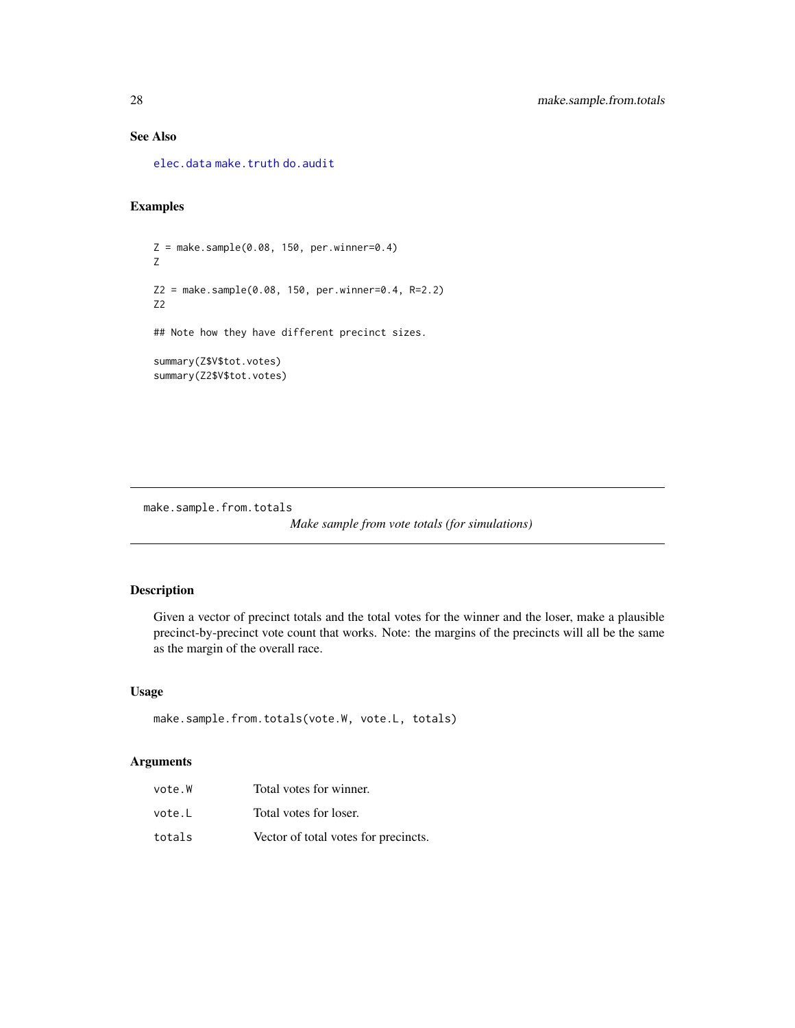### See Also

[elec.data](#page-15-1) [make.truth](#page-28-1) [do.audit](#page-14-1)

### Examples

```
Z = make.sumple(0.08, 150, per.winner=0.4)Z
Z2 = make.sample(0.08, 150, per.winner=0.4, R=2.2)
Z2
## Note how they have different precinct sizes.
summary(Z$V$tot.votes)
summary(Z2$V$tot.votes)
```
make.sample.from.totals

*Make sample from vote totals (for simulations)*

### Description

Given a vector of precinct totals and the total votes for the winner and the loser, make a plausible precinct-by-precinct vote count that works. Note: the margins of the precincts will all be the same as the margin of the overall race.

#### Usage

```
make.sample.from.totals(vote.W, vote.L, totals)
```
### Arguments

| vote.W | Total votes for winner.              |
|--------|--------------------------------------|
| vote.L | Total votes for loser.               |
| totals | Vector of total votes for precincts. |

<span id="page-27-0"></span>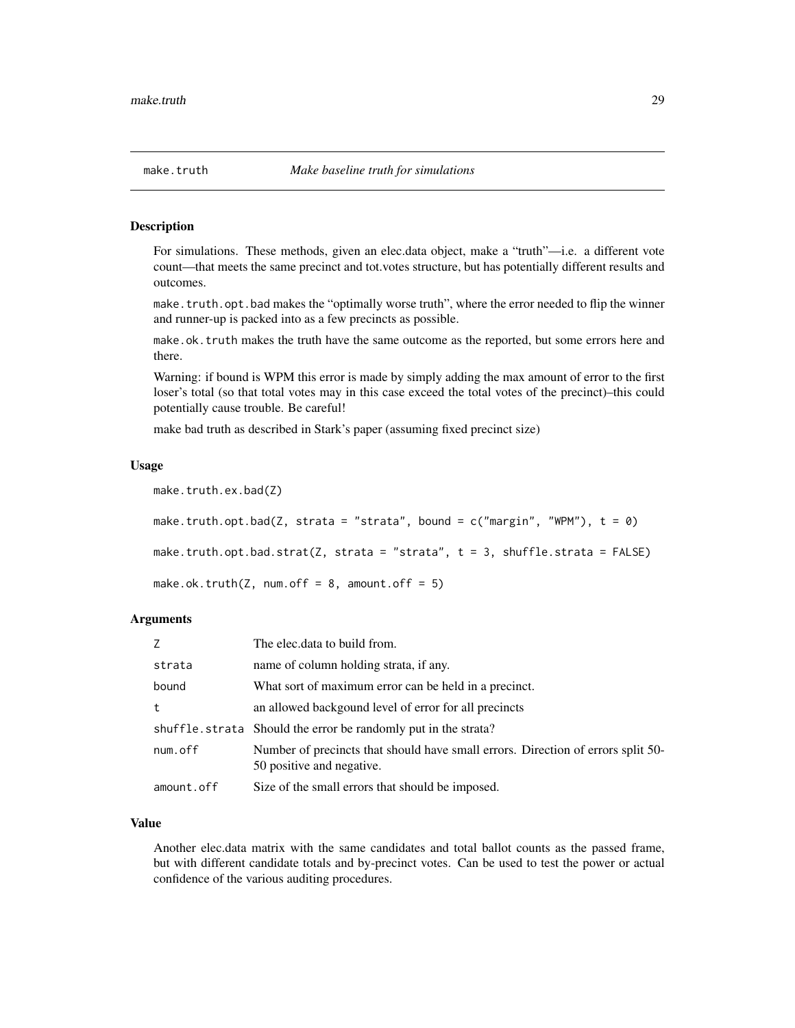#### <span id="page-28-1"></span><span id="page-28-0"></span>Description

For simulations. These methods, given an elec.data object, make a "truth"—i.e. a different vote count—that meets the same precinct and tot.votes structure, but has potentially different results and outcomes.

make.truth.opt.bad makes the "optimally worse truth", where the error needed to flip the winner and runner-up is packed into as a few precincts as possible.

make.ok.truth makes the truth have the same outcome as the reported, but some errors here and there.

Warning: if bound is WPM this error is made by simply adding the max amount of error to the first loser's total (so that total votes may in this case exceed the total votes of the precinct)–this could potentially cause trouble. Be careful!

make bad truth as described in Stark's paper (assuming fixed precinct size)

#### Usage

make.truth.ex.bad(Z)

make.truth.opt.bad(Z, strata = "strata", bound =  $c("margin", "WPM")$ , t = 0)

make.truth.opt.bad.strat(Z, strata = "strata", t = 3, shuffle.strata = FALSE)

```
make.ok.truth(Z, num.off = 8, amount.off = 5)
```
#### Arguments

| 7          | The elec.data to build from.                                                                                  |
|------------|---------------------------------------------------------------------------------------------------------------|
| strata     | name of column holding strata, if any.                                                                        |
| bound      | What sort of maximum error can be held in a precinct.                                                         |
| t          | an allowed backgound level of error for all precincts                                                         |
|            | shuffle.strata Should the error be randomly put in the strata?                                                |
| num.off    | Number of precincts that should have small errors. Direction of errors split 50-<br>50 positive and negative. |
| amount.off | Size of the small errors that should be imposed.                                                              |

#### Value

Another elec.data matrix with the same candidates and total ballot counts as the passed frame, but with different candidate totals and by-precinct votes. Can be used to test the power or actual confidence of the various auditing procedures.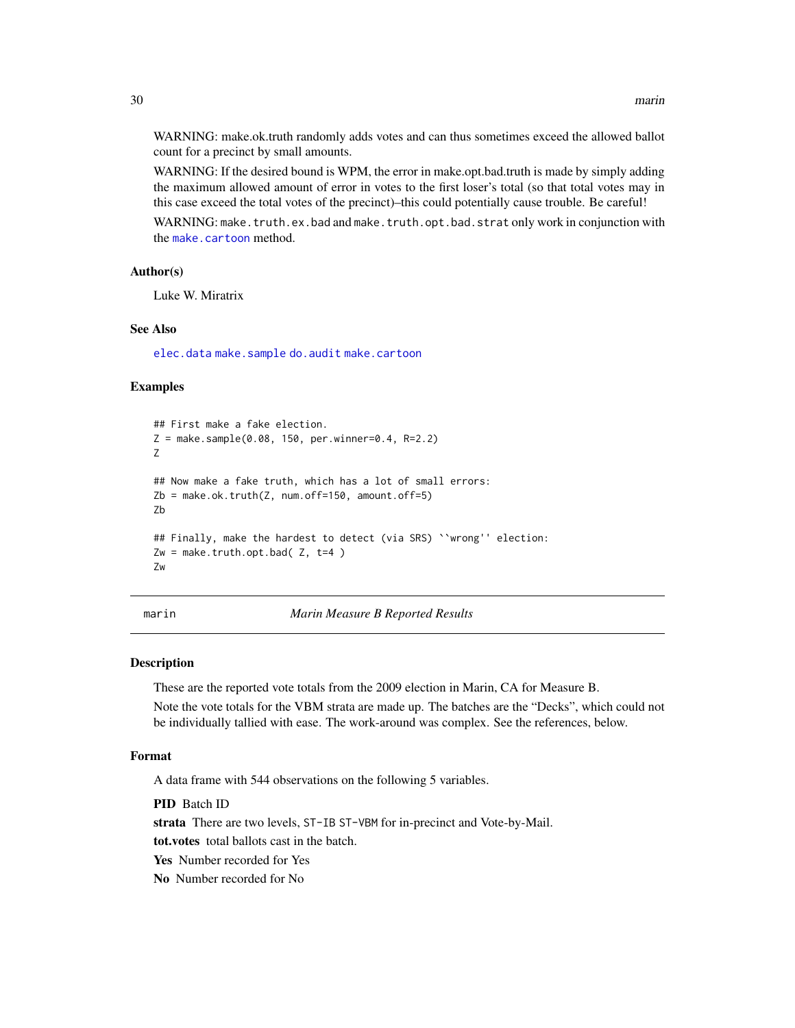WARNING: make.ok.truth randomly adds votes and can thus sometimes exceed the allowed ballot count for a precinct by small amounts.

WARNING: If the desired bound is WPM, the error in make.opt.bad.truth is made by simply adding the maximum allowed amount of error in votes to the first loser's total (so that total votes may in this case exceed the total votes of the precinct)–this could potentially cause trouble. Be careful!

WARNING: make.truth.ex.bad and make.truth.opt.bad.strat only work in conjunction with the [make.cartoon](#page-23-1) method.

#### Author(s)

Luke W. Miratrix

#### See Also

[elec.data](#page-15-1) [make.sample](#page-26-1) [do.audit](#page-14-1) [make.cartoon](#page-23-1)

#### Examples

```
## First make a fake election.
Z = \text{make.sample}(0.08, 150, \text{per.winner=0.4}, R=2.2)Z
## Now make a fake truth, which has a lot of small errors:
Zb = make.ok.truth(Z, num.off=150, amount.off=5)Zb
## Finally, make the hardest to detect (via SRS) ``wrong'' election:
Zw = make.truth.opt.bad( Z, t=4 )Zw
```
marin *Marin Measure B Reported Results*

#### Description

These are the reported vote totals from the 2009 election in Marin, CA for Measure B.

Note the vote totals for the VBM strata are made up. The batches are the "Decks", which could not be individually tallied with ease. The work-around was complex. See the references, below.

#### Format

A data frame with 544 observations on the following 5 variables.

PID Batch ID

strata There are two levels, ST-IB ST-VBM for in-precinct and Vote-by-Mail.

tot.votes total ballots cast in the batch.

Yes Number recorded for Yes

No Number recorded for No

<span id="page-29-0"></span>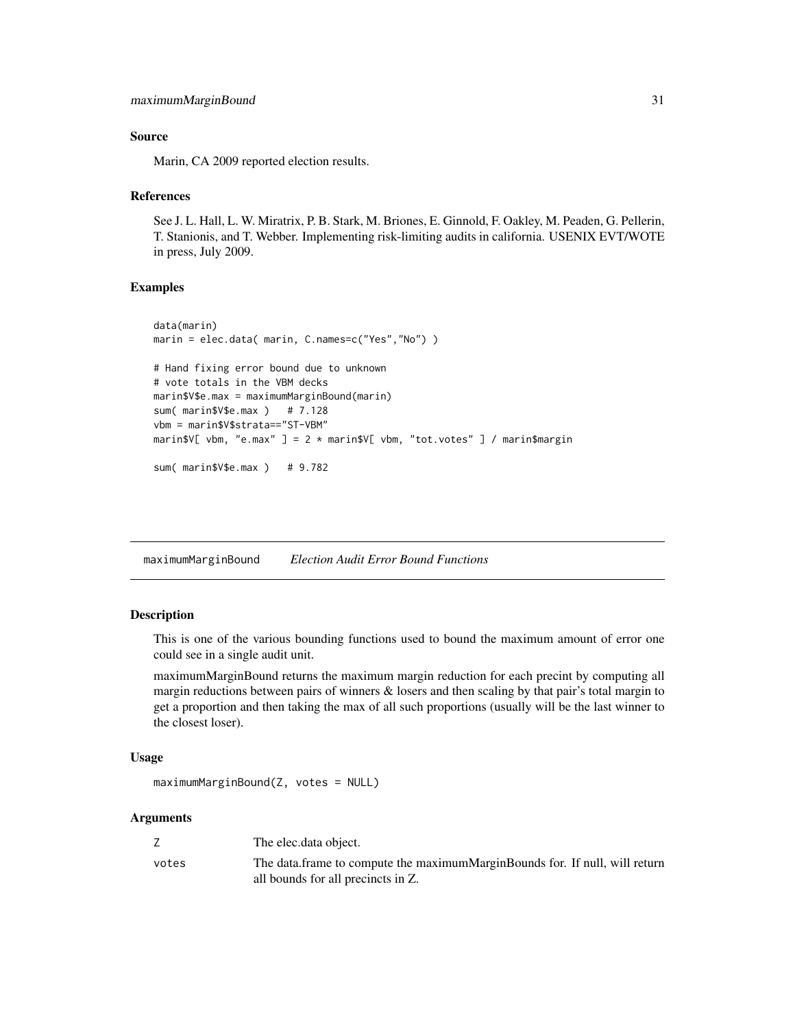#### <span id="page-30-0"></span>Source

Marin, CA 2009 reported election results.

#### References

See J. L. Hall, L. W. Miratrix, P. B. Stark, M. Briones, E. Ginnold, F. Oakley, M. Peaden, G. Pellerin, T. Stanionis, and T. Webber. Implementing risk-limiting audits in california. USENIX EVT/WOTE in press, July 2009.

#### Examples

```
data(marin)
marin = elec.data( marin, C.names=c("Yes","No"))
# Hand fixing error bound due to unknown
# vote totals in the VBM decks
marin$V$e.max = maximumMarginBound(marin)
sum( marin$V$e.max ) # 7.128
vbm = marin$V$strata=="ST-VBM"
marin$V[ vbm, "e.max" ] = 2 * marin$V[ vbm, "tot.votes" ] / marin$margin
sum( marin$V$e.max ) # 9.782
```
maximumMarginBound *Election Audit Error Bound Functions*

### Description

This is one of the various bounding functions used to bound the maximum amount of error one could see in a single audit unit.

maximumMarginBound returns the maximum margin reduction for each precint by computing all margin reductions between pairs of winners  $\&$  losers and then scaling by that pair's total margin to get a proportion and then taking the max of all such proportions (usually will be the last winner to the closest loser).

#### Usage

```
maximumMarginBound(Z, votes = NULL)
```
#### Arguments

|       | The elec.data object.                                                       |
|-------|-----------------------------------------------------------------------------|
| votes | The data frame to compute the maximumMarginBounds for. If null, will return |
|       | all bounds for all precincts in Z.                                          |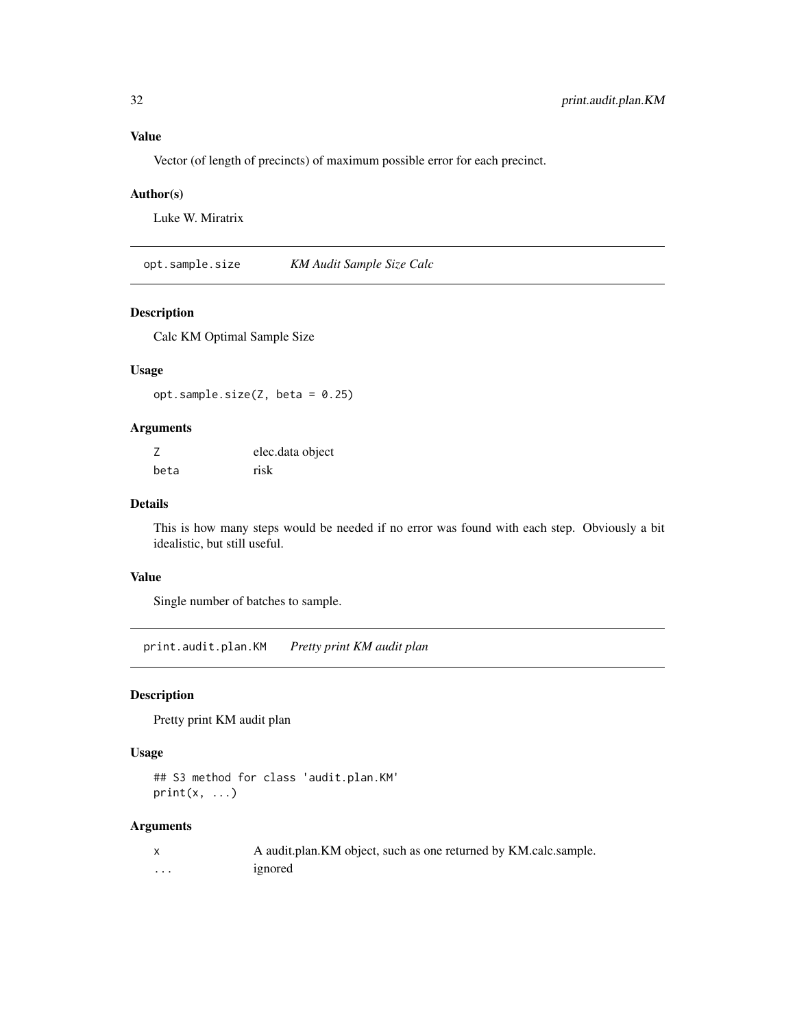Vector (of length of precincts) of maximum possible error for each precinct.

### Author(s)

Luke W. Miratrix

opt.sample.size *KM Audit Sample Size Calc*

### Description

Calc KM Optimal Sample Size

### Usage

opt.sample.size $(Z, \text{beta} = 0.25)$ 

### Arguments

|      | elec.data object |
|------|------------------|
| beta | risk             |

#### Details

This is how many steps would be needed if no error was found with each step. Obviously a bit idealistic, but still useful.

#### Value

Single number of batches to sample.

print.audit.plan.KM *Pretty print KM audit plan*

#### Description

Pretty print KM audit plan

### Usage

```
## S3 method for class 'audit.plan.KM'
print(x, \ldots)
```
### Arguments

| $\mathsf{x}$ | A audit.plan. KM object, such as one returned by KM.calc.sample. |
|--------------|------------------------------------------------------------------|
| .            | ignored                                                          |

<span id="page-31-0"></span>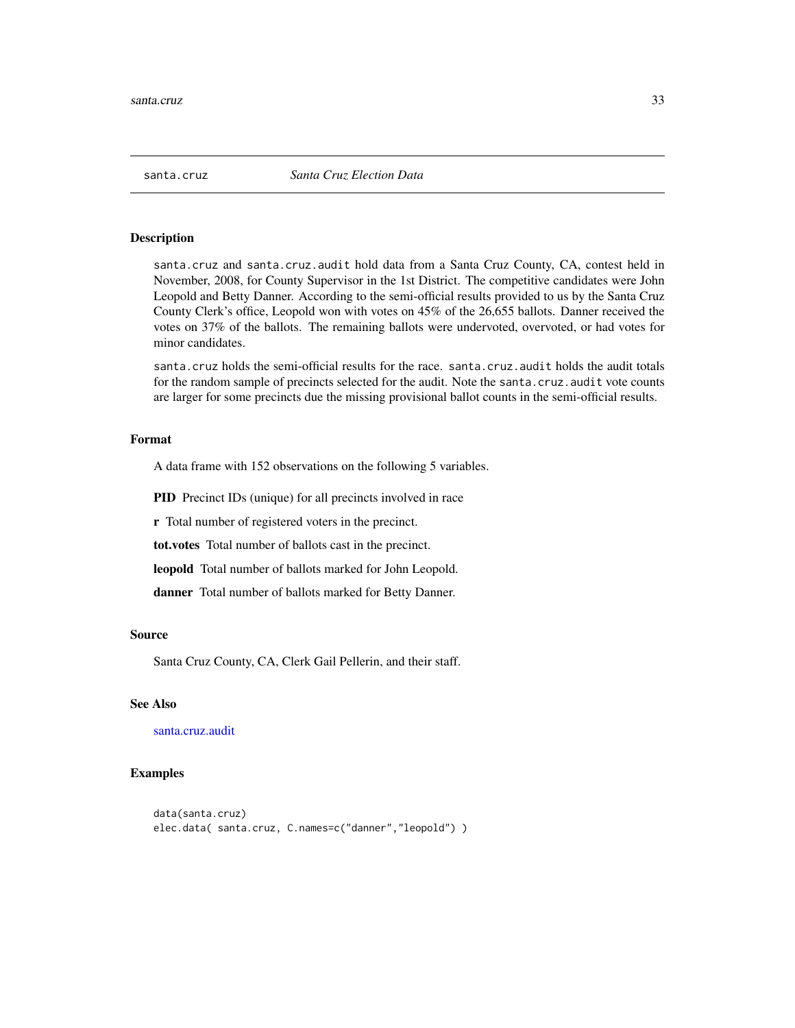<span id="page-32-1"></span><span id="page-32-0"></span>

#### Description

santa.cruz and santa.cruz.audit hold data from a Santa Cruz County, CA, contest held in November, 2008, for County Supervisor in the 1st District. The competitive candidates were John Leopold and Betty Danner. According to the semi-official results provided to us by the Santa Cruz County Clerk's office, Leopold won with votes on 45% of the 26,655 ballots. Danner received the votes on 37% of the ballots. The remaining ballots were undervoted, overvoted, or had votes for minor candidates.

santa.cruz holds the semi-official results for the race. santa.cruz.audit holds the audit totals for the random sample of precincts selected for the audit. Note the santa.cruz.audit vote counts are larger for some precincts due the missing provisional ballot counts in the semi-official results.

#### Format

A data frame with 152 observations on the following 5 variables.

PID Precinct IDs (unique) for all precincts involved in race

r Total number of registered voters in the precinct.

tot.votes Total number of ballots cast in the precinct.

leopold Total number of ballots marked for John Leopold.

danner Total number of ballots marked for Betty Danner.

#### Source

Santa Cruz County, CA, Clerk Gail Pellerin, and their staff.

#### See Also

[santa.cruz.audit](#page-33-1)

#### Examples

```
data(santa.cruz)
elec.data( santa.cruz, C.names=c("danner","leopold") )
```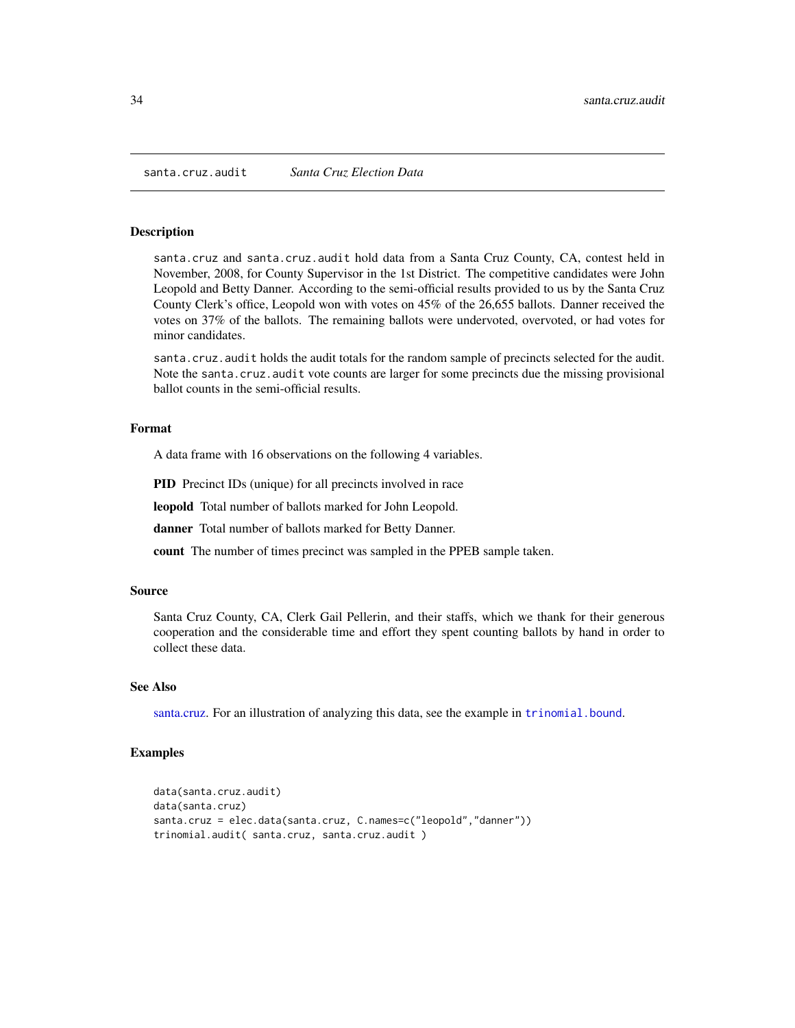<span id="page-33-1"></span><span id="page-33-0"></span>santa.cruz.audit *Santa Cruz Election Data*

#### Description

santa.cruz and santa.cruz.audit hold data from a Santa Cruz County, CA, contest held in November, 2008, for County Supervisor in the 1st District. The competitive candidates were John Leopold and Betty Danner. According to the semi-official results provided to us by the Santa Cruz County Clerk's office, Leopold won with votes on 45% of the 26,655 ballots. Danner received the votes on 37% of the ballots. The remaining ballots were undervoted, overvoted, or had votes for minor candidates.

santa.cruz.audit holds the audit totals for the random sample of precincts selected for the audit. Note the santa.cruz.audit vote counts are larger for some precincts due the missing provisional ballot counts in the semi-official results.

#### Format

A data frame with 16 observations on the following 4 variables.

PID Precinct IDs (unique) for all precincts involved in race

leopold Total number of ballots marked for John Leopold.

danner Total number of ballots marked for Betty Danner.

count The number of times precinct was sampled in the PPEB sample taken.

#### Source

Santa Cruz County, CA, Clerk Gail Pellerin, and their staffs, which we thank for their generous cooperation and the considerable time and effort they spent counting ballots by hand in order to collect these data.

#### See Also

[santa.cruz.](#page-32-1) For an illustration of analyzing this data, see the example in [trinomial.bound](#page-43-2).

#### Examples

```
data(santa.cruz.audit)
data(santa.cruz)
santa.cruz = elec.data(santa.cruz, C.names=c("leopold","danner"))
trinomial.audit( santa.cruz, santa.cruz.audit )
```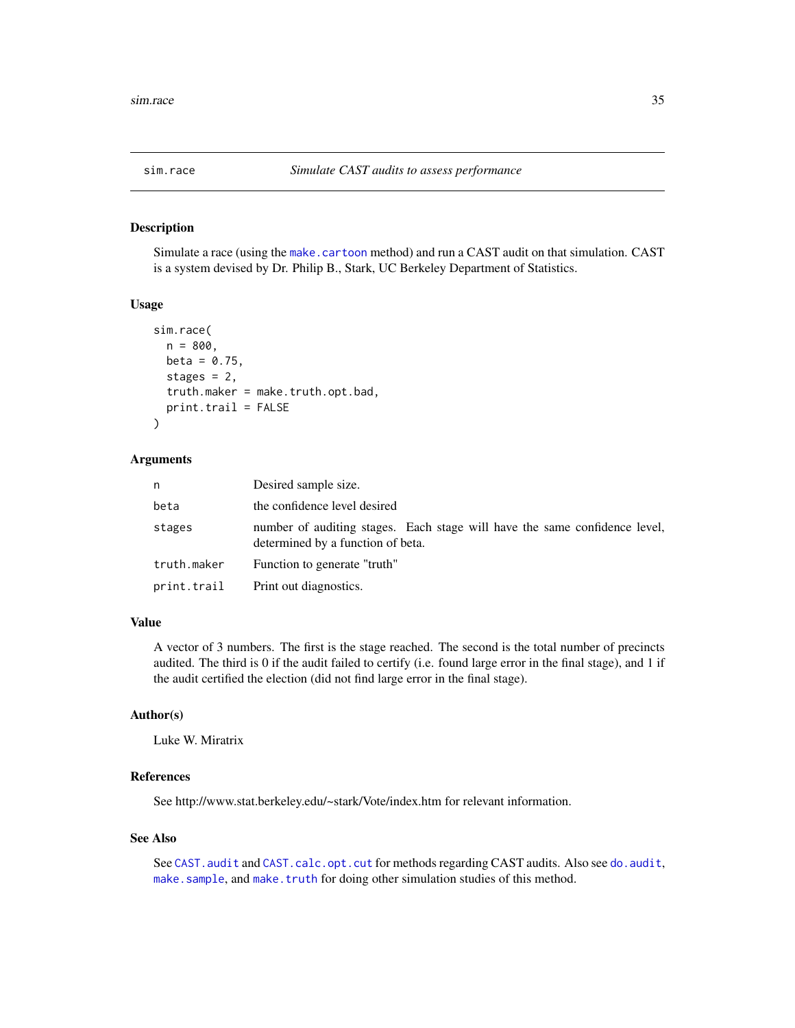<span id="page-34-1"></span><span id="page-34-0"></span>

### **Description**

Simulate a race (using the [make.cartoon](#page-23-1) method) and run a CAST audit on that simulation. CAST is a system devised by Dr. Philip B., Stark, UC Berkeley Department of Statistics.

#### Usage

```
sim.race(
 n = 800,
 beta = 0.75,
  stages = 2,
  truth.maker = make.truth.opt.bad,
  print.trail = FALSE
)
```
#### Arguments

| n           | Desired sample size.                                                                                            |
|-------------|-----------------------------------------------------------------------------------------------------------------|
| beta        | the confidence level desired                                                                                    |
| stages      | number of auditing stages. Each stage will have the same confidence level,<br>determined by a function of beta. |
| truth.maker | Function to generate "truth"                                                                                    |
| print.trail | Print out diagnostics.                                                                                          |

### Value

A vector of 3 numbers. The first is the stage reached. The second is the total number of precincts audited. The third is 0 if the audit failed to certify (i.e. found large error in the final stage), and 1 if the audit certified the election (did not find large error in the final stage).

#### Author(s)

Luke W. Miratrix

### References

See http://www.stat.berkeley.edu/~stark/Vote/index.htm for relevant information.

#### See Also

See CAST. audit and CAST. calc.opt.cut for methods regarding CAST audits. Also see do. audit, [make.sample](#page-26-1), and [make.truth](#page-28-1) for doing other simulation studies of this method.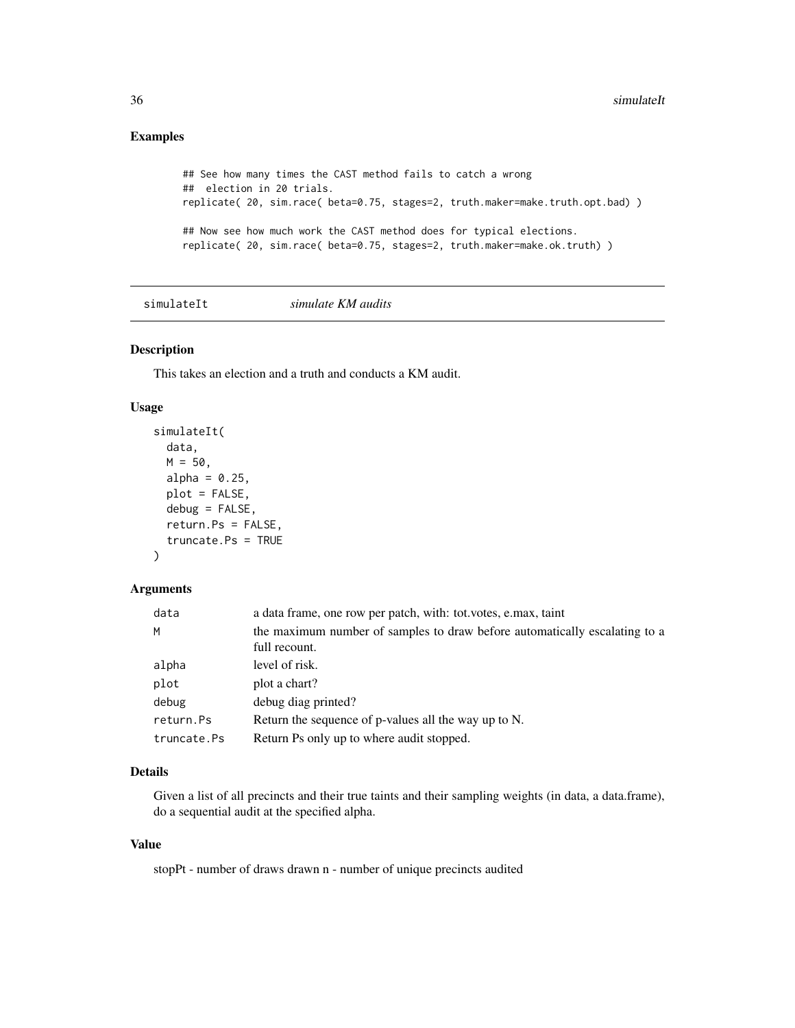### Examples

```
## See how many times the CAST method fails to catch a wrong
## election in 20 trials.
replicate( 20, sim.race( beta=0.75, stages=2, truth.maker=make.truth.opt.bad) )
## Now see how much work the CAST method does for typical elections.
replicate( 20, sim.race( beta=0.75, stages=2, truth.maker=make.ok.truth) )
```
simulateIt *simulate KM audits*

### Description

This takes an election and a truth and conducts a KM audit.

#### Usage

```
simulateIt(
  data,
  M = 50,
  alpha = 0.25,
  plot = FALSE,
  debug = FALSE,
  return.Ps = FALSE,
  truncate.Ps = TRUE
\mathcal{E}
```
#### Arguments

| data        | a data frame, one row per patch, with: tot.votes, e.max, taint             |
|-------------|----------------------------------------------------------------------------|
| M           | the maximum number of samples to draw before automatically escalating to a |
|             | full recount.                                                              |
| alpha       | level of risk.                                                             |
| plot        | plot a chart?                                                              |
| debug       | debug diag printed?                                                        |
| return.Ps   | Return the sequence of p-values all the way up to N.                       |
| truncate.Ps | Return Ps only up to where audit stopped.                                  |

### Details

Given a list of all precincts and their true taints and their sampling weights (in data, a data.frame), do a sequential audit at the specified alpha.

### Value

stopPt - number of draws drawn n - number of unique precincts audited

<span id="page-35-0"></span>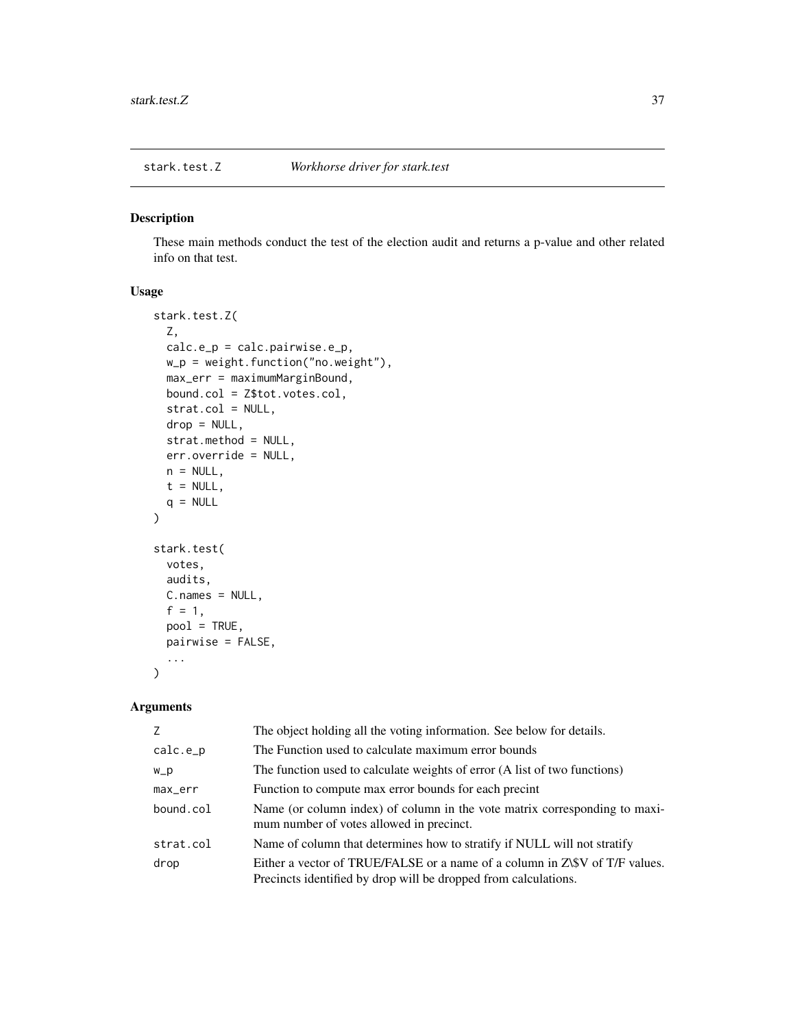<span id="page-36-0"></span>

#### <span id="page-36-1"></span>Description

These main methods conduct the test of the election audit and returns a p-value and other related info on that test.

### Usage

```
stark.test.Z(
  Z,
 calc.e_p = calc.pairwise.e_p,
 w_p = weight.function("no.weight"),
 max_err = maximumMarginBound,
 bound.col = Z$tot.votes.col,
  strat.col = NULL,
  drop = NULL,
  strat.method = NULL,
  err.override = NULL,
 n = NULL,t = NULL,q = NULL)
stark.test(
 votes,
  audits,
 C.names = NULL,
  f = 1,
 pool = TRUE,pairwise = FALSE,
  ...
\mathcal{L}
```
### Arguments

| 7          | The object holding all the voting information. See below for details.                                                                          |
|------------|------------------------------------------------------------------------------------------------------------------------------------------------|
| $calc.e_p$ | The Function used to calculate maximum error bounds                                                                                            |
| $W_p$      | The function used to calculate weights of error (A list of two functions)                                                                      |
| max_err    | Function to compute max error bounds for each precint                                                                                          |
| bound.col  | Name (or column index) of column in the vote matrix corresponding to maxi-<br>mum number of votes allowed in precinct.                         |
| strat.col  | Name of column that determines how to stratify if NULL will not stratify                                                                       |
| drop       | Either a vector of TRUE/FALSE or a name of a column in Z\\$V of T/F values.<br>Precincts identified by drop will be dropped from calculations. |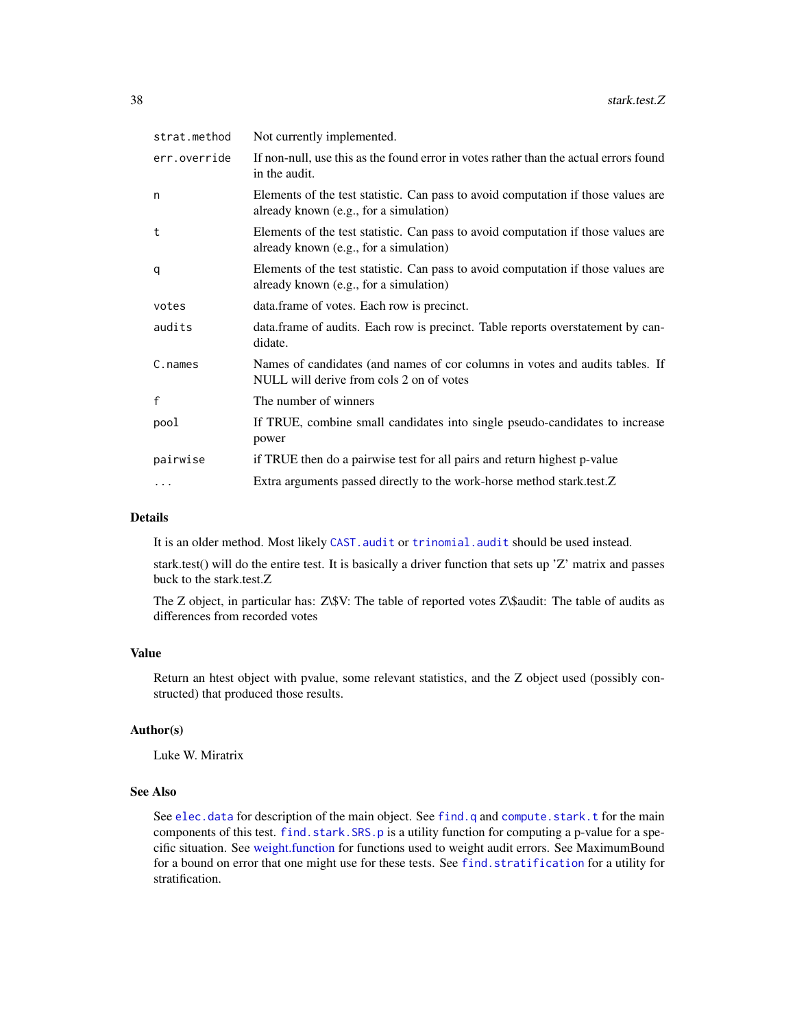<span id="page-37-0"></span>

| strat.method | Not currently implemented.                                                                                                  |
|--------------|-----------------------------------------------------------------------------------------------------------------------------|
| err.override | If non-null, use this as the found error in votes rather than the actual errors found<br>in the audit.                      |
| n            | Elements of the test statistic. Can pass to avoid computation if those values are<br>already known (e.g., for a simulation) |
| t            | Elements of the test statistic. Can pass to avoid computation if those values are<br>already known (e.g., for a simulation) |
| q            | Elements of the test statistic. Can pass to avoid computation if those values are<br>already known (e.g., for a simulation) |
| votes        | data.frame of votes. Each row is precinct.                                                                                  |
| audits       | data. frame of audits. Each row is precinct. Table reports overstatement by can-<br>didate.                                 |
| C.names      | Names of candidates (and names of cor columns in votes and audits tables. If<br>NULL will derive from cols 2 on of votes    |
| $\mathsf{f}$ | The number of winners                                                                                                       |
| pool         | If TRUE, combine small candidates into single pseudo-candidates to increase<br>power                                        |
| pairwise     | if TRUE then do a pairwise test for all pairs and return highest p-value                                                    |
| $\cdots$     | Extra arguments passed directly to the work-horse method stark.test.Z                                                       |

#### Details

It is an older method. Most likely CAST. audit or trinomial. audit should be used instead.

stark.test() will do the entire test. It is basically a driver function that sets up 'Z' matrix and passes buck to the stark.test.Z

The Z object, in particular has: Z\\$V: The table of reported votes Z\\$audit: The table of audits as differences from recorded votes

#### Value

Return an htest object with pvalue, some relevant statistics, and the Z object used (possibly constructed) that produced those results.

#### Author(s)

Luke W. Miratrix

### See Also

See [elec.data](#page-15-1) for description of the main object. See [find.q](#page-16-1) and [compute.stark.t](#page-12-1) for the main components of this test. find. stark. SRS. p is a utility function for computing a p-value for a specific situation. See [weight.function](#page-46-2) for functions used to weight audit errors. See MaximumBound for a bound on error that one might use for these tests. See [find.stratification](#page-18-1) for a utility for stratification.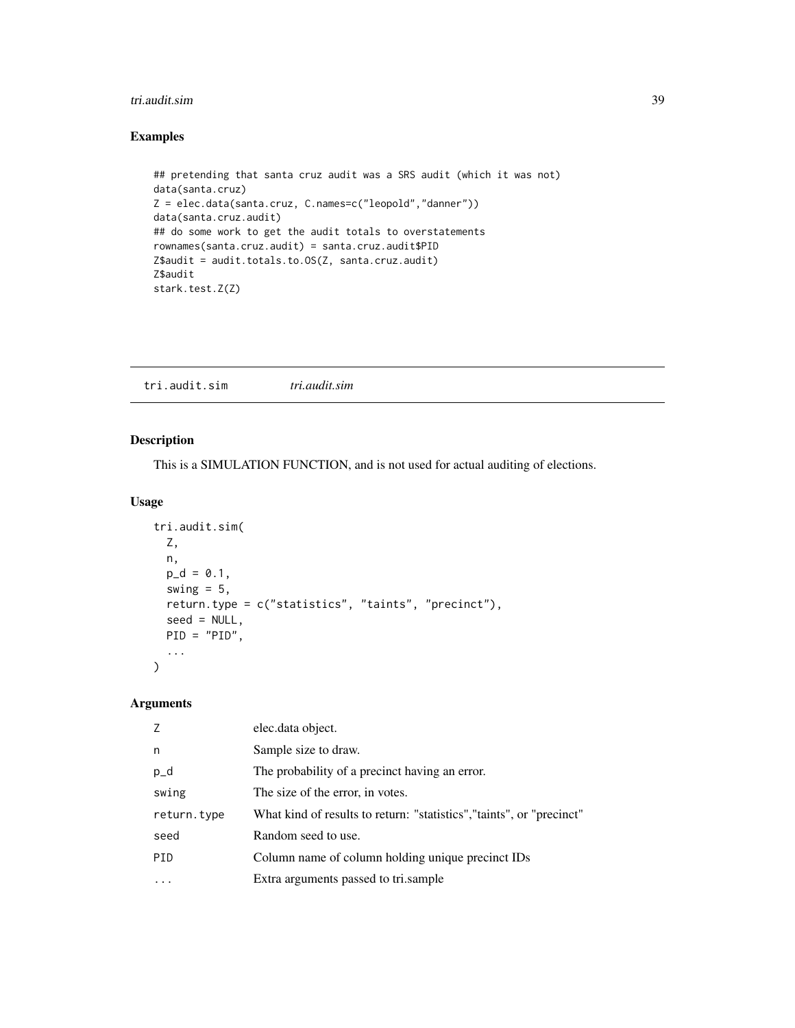#### <span id="page-38-0"></span>tri.audit.sim 39

### Examples

```
## pretending that santa cruz audit was a SRS audit (which it was not)
data(santa.cruz)
Z = elec.data(santa.cruz, C.names=c("leopold","danner"))
data(santa.cruz.audit)
## do some work to get the audit totals to overstatements
rownames(santa.cruz.audit) = santa.cruz.audit$PID
Z$audit = audit.totals.to.OS(Z, santa.cruz.audit)
Z$audit
stark.test.Z(Z)
```
<span id="page-38-1"></span>

|--|--|

### Description

This is a SIMULATION FUNCTION, and is not used for actual auditing of elections.

### Usage

```
tri.audit.sim(
  Z,
 n,
 p_d = 0.1,
  swing = 5,
 return.type = c("statistics", "taints", "precinct"),
  seed = NULL,
 PID = "PID",
  ...
\mathcal{L}
```
### Arguments

| 7           | elec.data object.                                                     |
|-------------|-----------------------------------------------------------------------|
| n           | Sample size to draw.                                                  |
| $p_d$       | The probability of a precinct having an error.                        |
| swing       | The size of the error, in votes.                                      |
| return.type | What kind of results to return: "statistics", "taints", or "precinct" |
| seed        | Random seed to use.                                                   |
| PID         | Column name of column holding unique precinct IDs                     |
|             | Extra arguments passed to tri.sample                                  |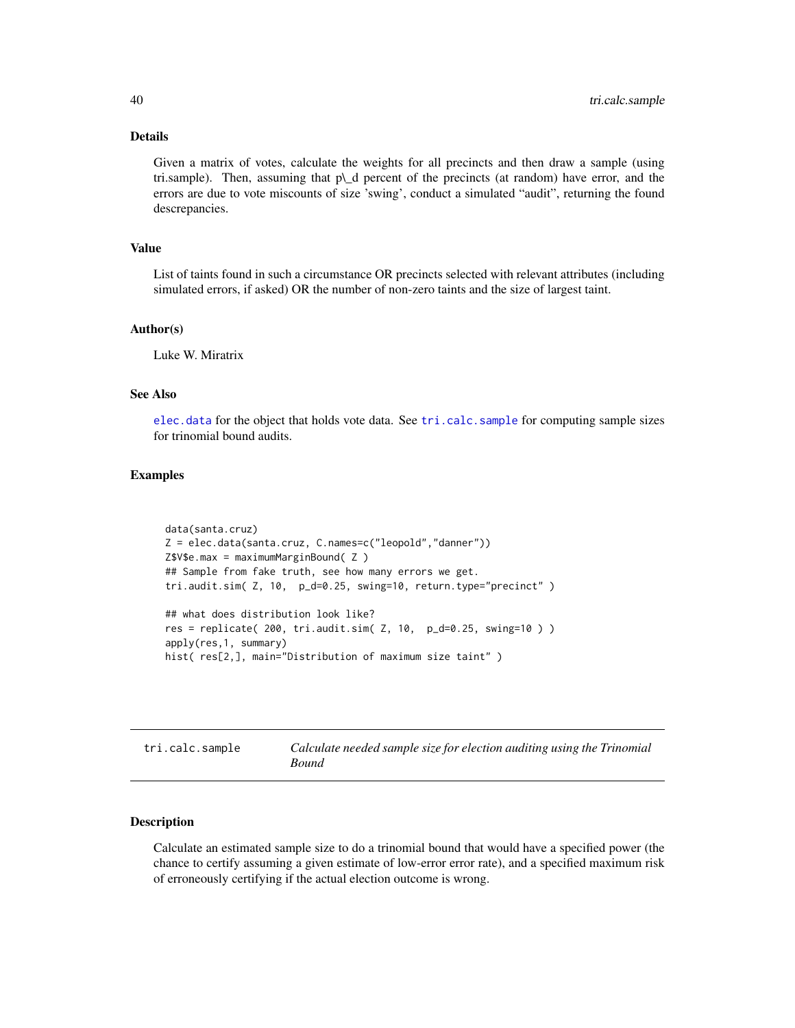#### Details

Given a matrix of votes, calculate the weights for all precincts and then draw a sample (using tri.sample). Then, assuming that p\\_d percent of the precincts (at random) have error, and the errors are due to vote miscounts of size 'swing', conduct a simulated "audit", returning the found descrepancies.

#### Value

List of taints found in such a circumstance OR precincts selected with relevant attributes (including simulated errors, if asked) OR the number of non-zero taints and the size of largest taint.

#### Author(s)

Luke W. Miratrix

### See Also

[elec.data](#page-15-1) for the object that holds vote data. See [tri.calc.sample](#page-39-1) for computing sample sizes for trinomial bound audits.

### Examples

```
data(santa.cruz)
Z = elec.data(santa.cruz, C.names=c("leopold","danner"))
Z$V$e.max = maximumMarginBound( Z )
## Sample from fake truth, see how many errors we get.
tri.audit.sim( Z, 10, p_d=0.25, swing=10, return.type="precinct" )
## what does distribution look like?
res = replicate( 200, tri.audit.sim( Z, 10, p_d=0.25, swing=10 ) )
apply(res,1, summary)
hist( res[2,], main="Distribution of maximum size taint" )
```
<span id="page-39-1"></span>

| tri.calc.sample | Calculate needed sample size for election auditing using the Trinomial |
|-----------------|------------------------------------------------------------------------|
|                 | <b>Bound</b>                                                           |

#### Description

Calculate an estimated sample size to do a trinomial bound that would have a specified power (the chance to certify assuming a given estimate of low-error error rate), and a specified maximum risk of erroneously certifying if the actual election outcome is wrong.

<span id="page-39-0"></span>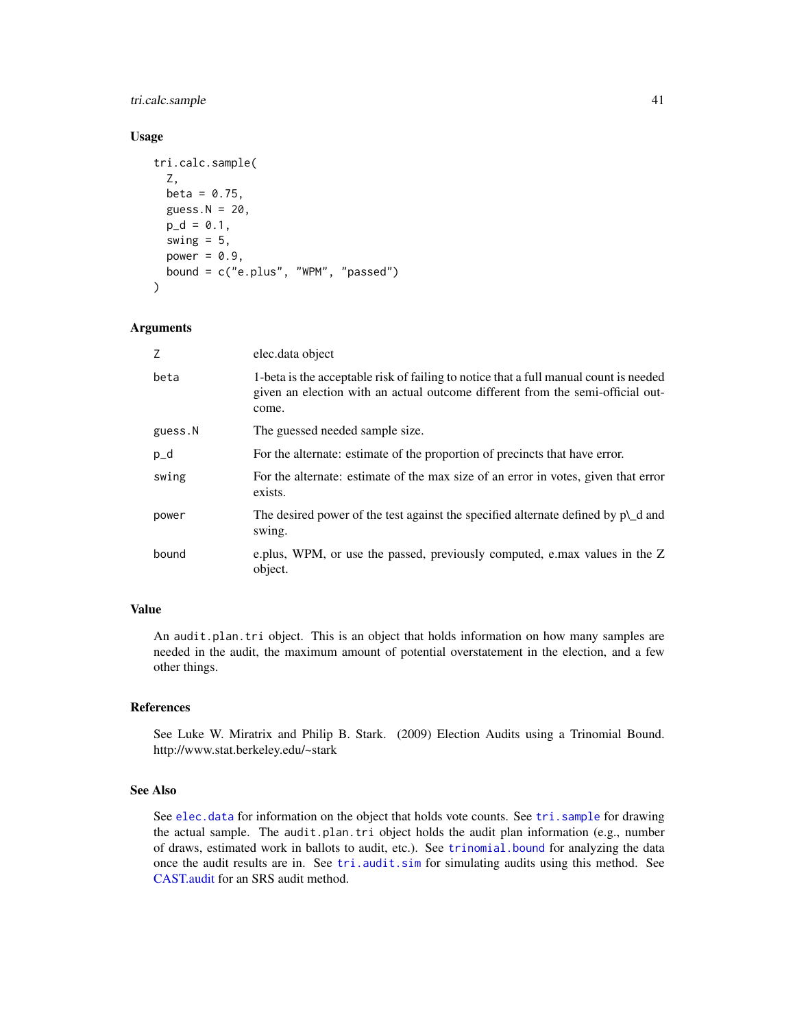<span id="page-40-0"></span>tri.calc.sample 41

#### Usage

```
tri.calc.sample(
  Z,
 beta = 0.75,
 guess.N = 20,
 p_d = 0.1,
  swing = 5,
 power = 0.9,
 bound = c("e.plus", "WPM", "passed")
)
```
#### Arguments

| Z       | elec.data object                                                                                                                                                                 |
|---------|----------------------------------------------------------------------------------------------------------------------------------------------------------------------------------|
| beta    | 1-beta is the acceptable risk of failing to notice that a full manual count is needed<br>given an election with an actual outcome different from the semi-official out-<br>come. |
| guess.N | The guessed needed sample size.                                                                                                                                                  |
| $p_d$   | For the alternate: estimate of the proportion of precincts that have error.                                                                                                      |
| swing   | For the alternate: estimate of the max size of an error in votes, given that error<br>exists.                                                                                    |
| power   | The desired power of the test against the specified alternate defined by $p \Delta$ and<br>swing.                                                                                |
| bound   | e.plus, WPM, or use the passed, previously computed, e.max values in the Z<br>object.                                                                                            |

#### Value

An audit.plan.tri object. This is an object that holds information on how many samples are needed in the audit, the maximum amount of potential overstatement in the election, and a few other things.

#### References

See Luke W. Miratrix and Philip B. Stark. (2009) Election Audits using a Trinomial Bound. http://www.stat.berkeley.edu/~stark

#### See Also

See [elec.data](#page-15-1) for information on the object that holds vote counts. See [tri.sample](#page-41-1) for drawing the actual sample. The audit.plan.tri object holds the audit plan information (e.g., number of draws, estimated work in ballots to audit, etc.). See [trinomial.bound](#page-43-2) for analyzing the data once the audit results are in. See [tri.audit.sim](#page-38-1) for simulating audits using this method. See [CAST.audit](#page-6-1) for an SRS audit method.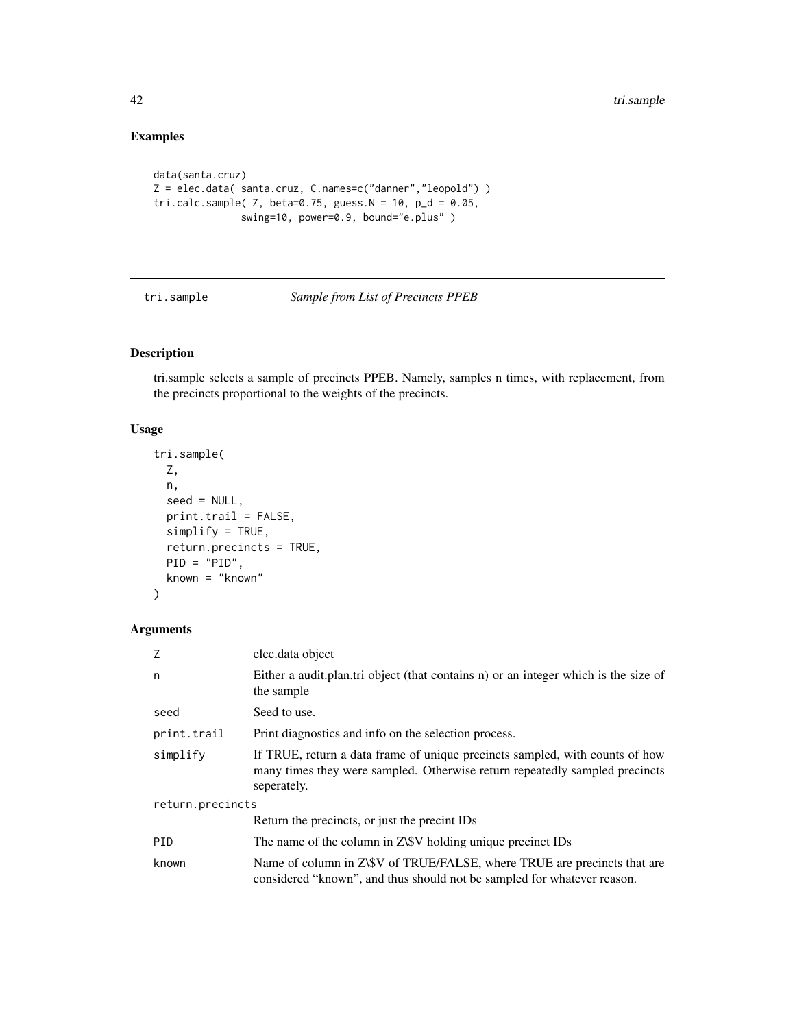### Examples

```
data(santa.cruz)
Z = elec.data( santa.cruz, C.names=c("danner","leopold") )
tri.calc.sample( Z, beta=0.75, guess.N = 10, p_d = 0.05,
               swing=10, power=0.9, bound="e.plus" )
```
<span id="page-41-1"></span>tri.sample *Sample from List of Precincts PPEB*

### Description

tri.sample selects a sample of precincts PPEB. Namely, samples n times, with replacement, from the precincts proportional to the weights of the precincts.

### Usage

```
tri.sample(
  Z,
  n,
  seed = NULL,
  print.trail = FALSE,
  simplify = TRUE,
  return.precincts = TRUE,
  PID = "PID",
  known = "known"
\mathcal{L}
```
### Arguments

| Z                | elec.data object                                                                                                                                                           |
|------------------|----------------------------------------------------------------------------------------------------------------------------------------------------------------------------|
| n                | Either a audit. plan. tri object (that contains n) or an integer which is the size of<br>the sample                                                                        |
| seed             | Seed to use.                                                                                                                                                               |
| print.trail      | Print diagnostics and info on the selection process.                                                                                                                       |
| simplify         | If TRUE, return a data frame of unique precincts sampled, with counts of how<br>many times they were sampled. Otherwise return repeatedly sampled precincts<br>seperately. |
| return.precincts |                                                                                                                                                                            |
|                  | Return the precincts, or just the precint IDs                                                                                                                              |
| PID              | The name of the column in $Z\$ V holding unique precinct IDs                                                                                                               |
| known            | Name of column in Z\\$V of TRUE/FALSE, where TRUE are precincts that are<br>considered "known", and thus should not be sampled for whatever reason.                        |

<span id="page-41-0"></span>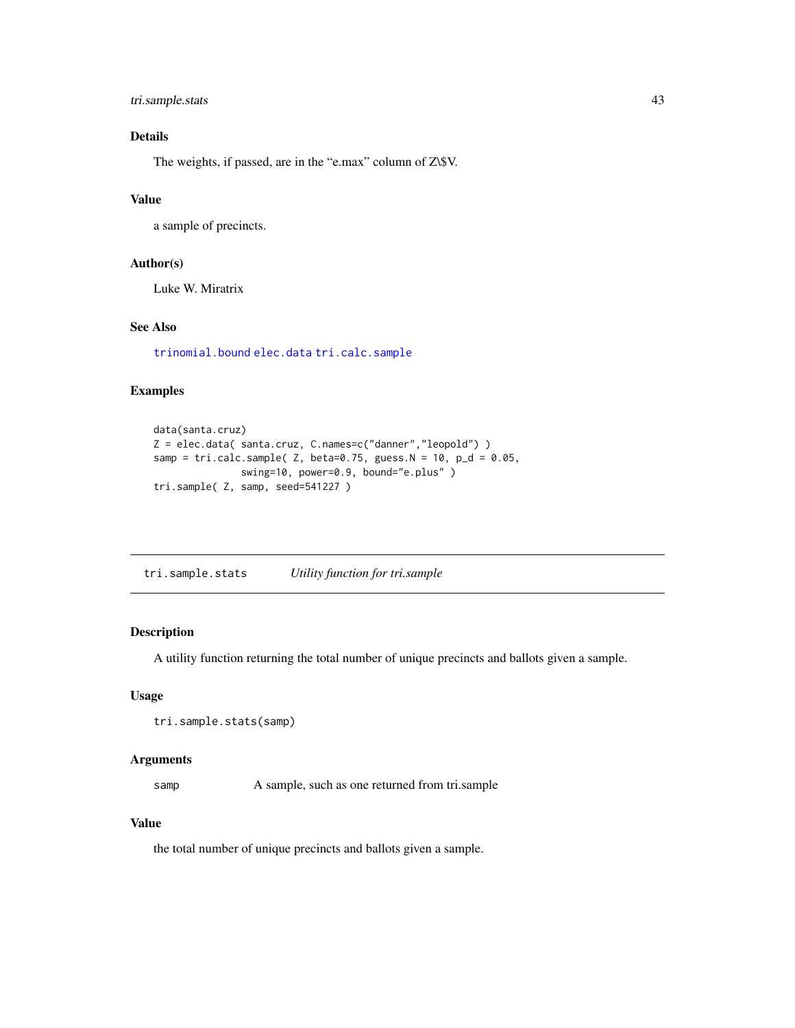### <span id="page-42-0"></span>tri.sample.stats 43

### Details

The weights, if passed, are in the "e.max" column of Z\\$V.

### Value

a sample of precincts.

### Author(s)

Luke W. Miratrix

### See Also

[trinomial.bound](#page-43-2) [elec.data](#page-15-1) [tri.calc.sample](#page-39-1)

#### Examples

```
data(santa.cruz)
Z = elec.data( santa.cruz, C.names=c("danner","leopold") )
samp = tri.calc.sample( Z, beta=0.75, guess.N = 10, p_d = 0.05,
               swing=10, power=0.9, bound="e.plus" )
tri.sample( Z, samp, seed=541227 )
```
tri.sample.stats *Utility function for tri.sample*

### Description

A utility function returning the total number of unique precincts and ballots given a sample.

#### Usage

```
tri.sample.stats(samp)
```
#### Arguments

samp A sample, such as one returned from tri.sample

#### Value

the total number of unique precincts and ballots given a sample.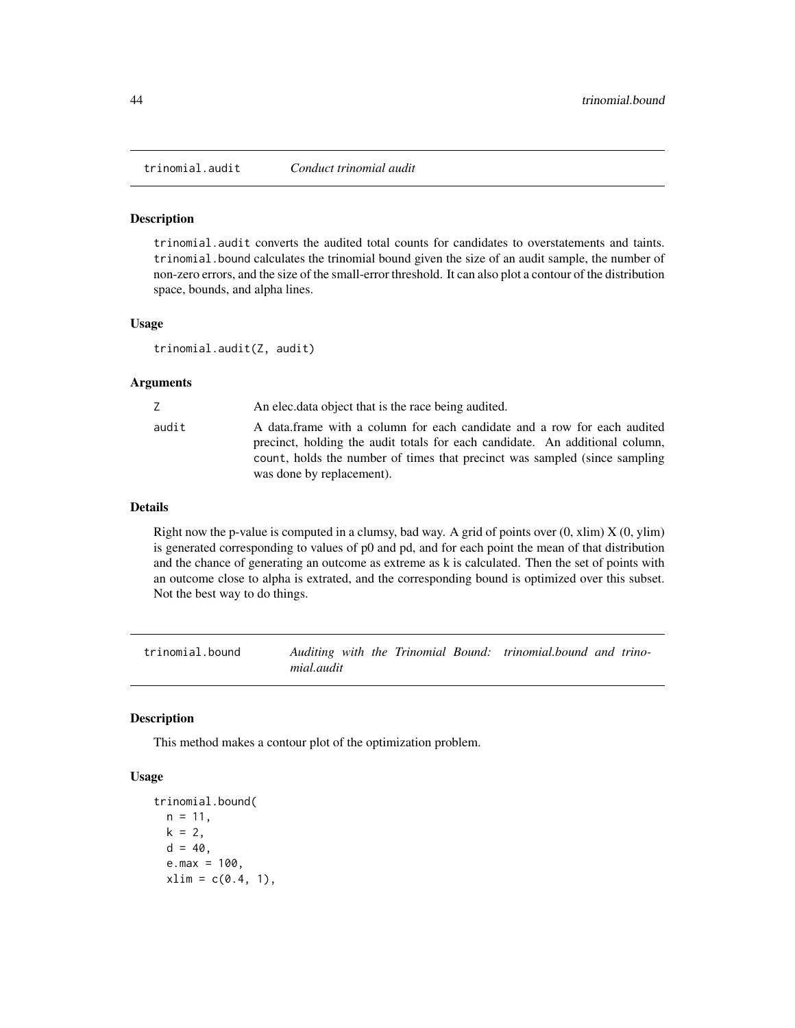<span id="page-43-1"></span><span id="page-43-0"></span>trinomial.audit *Conduct trinomial audit*

#### Description

trinomial.audit converts the audited total counts for candidates to overstatements and taints. trinomial.bound calculates the trinomial bound given the size of an audit sample, the number of non-zero errors, and the size of the small-error threshold. It can also plot a contour of the distribution space, bounds, and alpha lines.

#### Usage

trinomial.audit(Z, audit)

#### Arguments

| Z     | An electrdata object that is the race being audited.                                                                                                                                                                                                                |
|-------|---------------------------------------------------------------------------------------------------------------------------------------------------------------------------------------------------------------------------------------------------------------------|
| audit | A data frame with a column for each candidate and a row for each audited<br>precinct, holding the audit totals for each candidate. An additional column,<br>count, holds the number of times that precinct was sampled (since sampling<br>was done by replacement). |

### Details

Right now the p-value is computed in a clumsy, bad way. A grid of points over  $(0, x\text{lim}) X (0, y\text{lim})$ is generated corresponding to values of p0 and pd, and for each point the mean of that distribution and the chance of generating an outcome as extreme as k is calculated. Then the set of points with an outcome close to alpha is extrated, and the corresponding bound is optimized over this subset. Not the best way to do things.

<span id="page-43-2"></span>trinomial.bound *Auditing with the Trinomial Bound: trinomial.bound and trinomial.audit*

### Description

This method makes a contour plot of the optimization problem.

#### Usage

```
trinomial.bound(
 n = 11,
 k = 2,
  d = 40,e.max = 100,
  xlim = c(0.4, 1),
```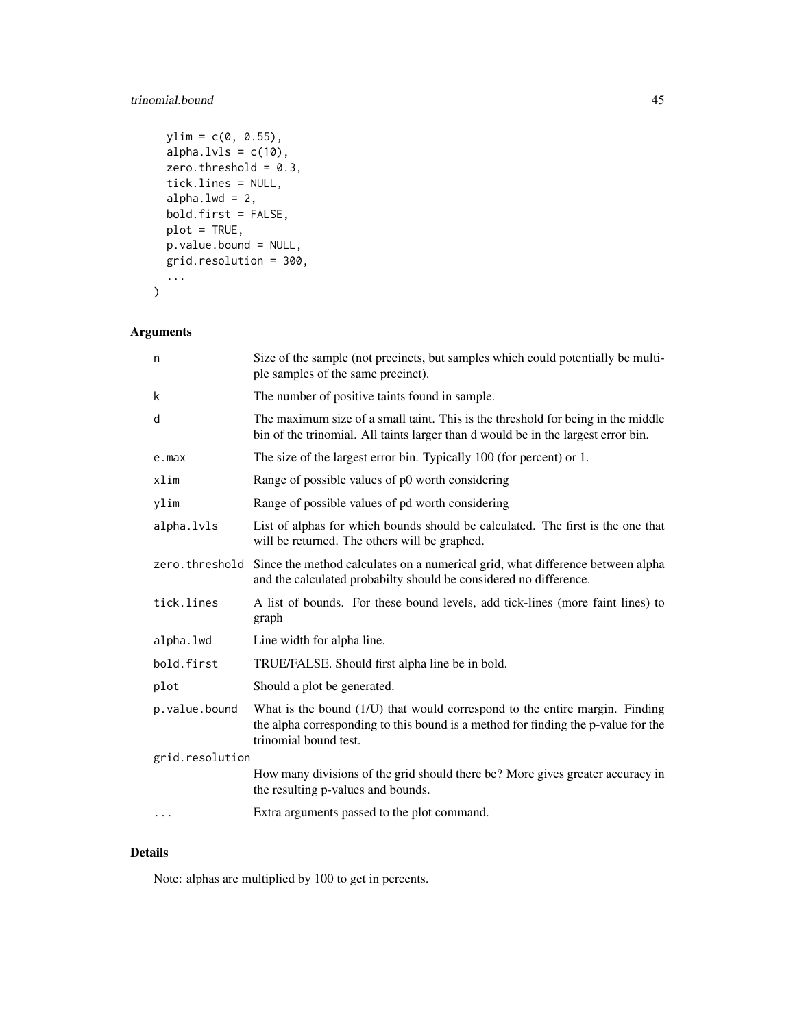### trinomial.bound 45

```
ylim = c(0, 0.55),
alpha.\text{luls} = c(10),
zero.threshold = 0.3,
tick.lines = NULL,
alpha.lwd = 2,
bold.first = FALSE,
plot = TRUE,
p.value.bound = NULL,
grid.resolution = 300,
...
```
### Arguments

 $\mathcal{L}$ 

| n               | Size of the sample (not precincts, but samples which could potentially be multi-<br>ple samples of the same precinct).                                                                    |
|-----------------|-------------------------------------------------------------------------------------------------------------------------------------------------------------------------------------------|
| k               | The number of positive taints found in sample.                                                                                                                                            |
| d               | The maximum size of a small taint. This is the threshold for being in the middle<br>bin of the trinomial. All taints larger than d would be in the largest error bin.                     |
| e.max           | The size of the largest error bin. Typically 100 (for percent) or 1.                                                                                                                      |
| xlim            | Range of possible values of p0 worth considering                                                                                                                                          |
| ylim            | Range of possible values of pd worth considering                                                                                                                                          |
| alpha.lvls      | List of alphas for which bounds should be calculated. The first is the one that<br>will be returned. The others will be graphed.                                                          |
| zero.threshold  | Since the method calculates on a numerical grid, what difference between alpha<br>and the calculated probabilty should be considered no difference.                                       |
| tick.lines      | A list of bounds. For these bound levels, add tick-lines (more faint lines) to<br>graph                                                                                                   |
| alpha.lwd       | Line width for alpha line.                                                                                                                                                                |
| bold.first      | TRUE/FALSE. Should first alpha line be in bold.                                                                                                                                           |
| plot            | Should a plot be generated.                                                                                                                                                               |
| p.value.bound   | What is the bound (1/U) that would correspond to the entire margin. Finding<br>the alpha corresponding to this bound is a method for finding the p-value for the<br>trinomial bound test. |
| grid.resolution |                                                                                                                                                                                           |
|                 | How many divisions of the grid should there be? More gives greater accuracy in<br>the resulting p-values and bounds.                                                                      |
| $\cdots$        | Extra arguments passed to the plot command.                                                                                                                                               |

### Details

Note: alphas are multiplied by 100 to get in percents.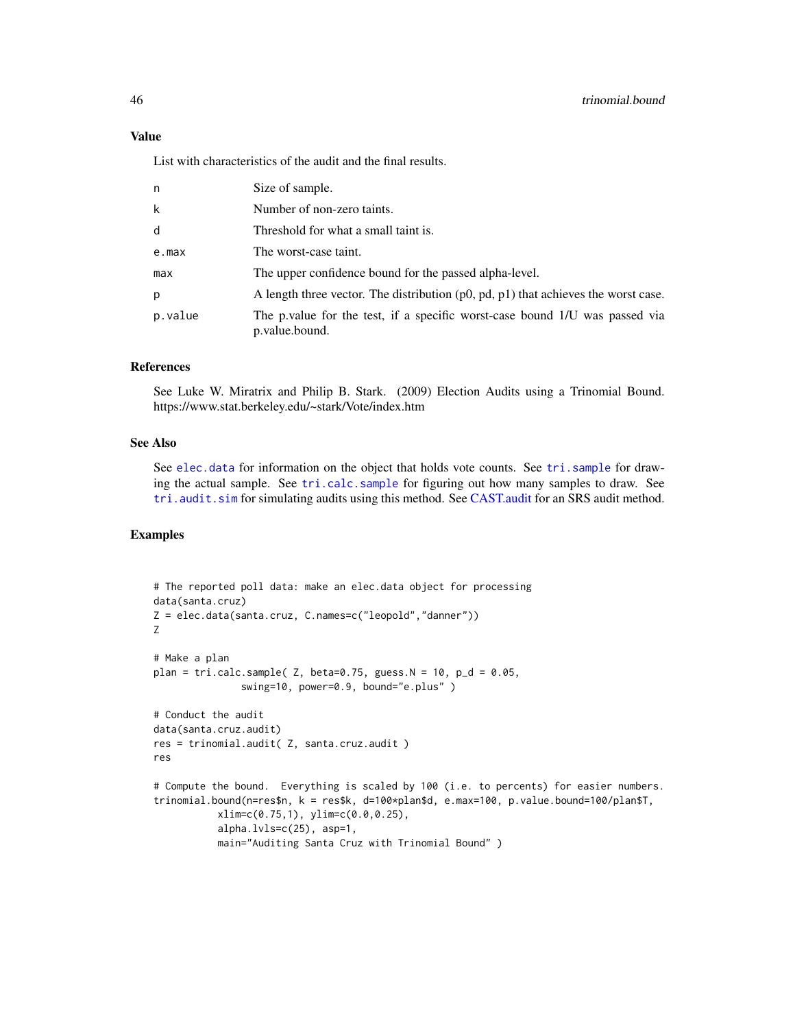List with characteristics of the audit and the final results.

| n       | Size of sample.                                                                               |
|---------|-----------------------------------------------------------------------------------------------|
| k       | Number of non-zero taints.                                                                    |
| d       | Threshold for what a small taint is.                                                          |
| e.max   | The worst-case taint.                                                                         |
| max     | The upper confidence bound for the passed alpha-level.                                        |
| р       | A length three vector. The distribution $(p0, pd, pl)$ that achieves the worst case.          |
| p.value | The p value for the test, if a specific worst-case bound 1/U was passed via<br>p.value.bound. |

#### References

See Luke W. Miratrix and Philip B. Stark. (2009) Election Audits using a Trinomial Bound. https://www.stat.berkeley.edu/~stark/Vote/index.htm

### See Also

See [elec.data](#page-15-1) for information on the object that holds vote counts. See [tri.sample](#page-41-1) for drawing the actual sample. See [tri.calc.sample](#page-39-1) for figuring out how many samples to draw. See [tri.audit.sim](#page-38-1) for simulating audits using this method. See [CAST.audit](#page-6-1) for an SRS audit method.

### Examples

```
# The reported poll data: make an elec.data object for processing
data(santa.cruz)
Z = elec.data(santa.cruz, C.names=c("leopold","danner"))
Z
# Make a plan
plan = tri.calc.sample(Z, beta=0.75, guess.N = 10, p_d = 0.05,
               swing=10, power=0.9, bound="e.plus" )
# Conduct the audit
data(santa.cruz.audit)
res = trinomial.audit( Z, santa.cruz.audit )
res
# Compute the bound. Everything is scaled by 100 (i.e. to percents) for easier numbers.
trinomial.bound(n=res$n, k = res$k, d=100*plan$d, e.max=100, p.value.bound=100/plan$T,
           xlim=c(0.75,1), ylim=c(0.0,0.25),
           alpha.lvls=c(25), asp=1,
           main="Auditing Santa Cruz with Trinomial Bound" )
```
<span id="page-45-0"></span>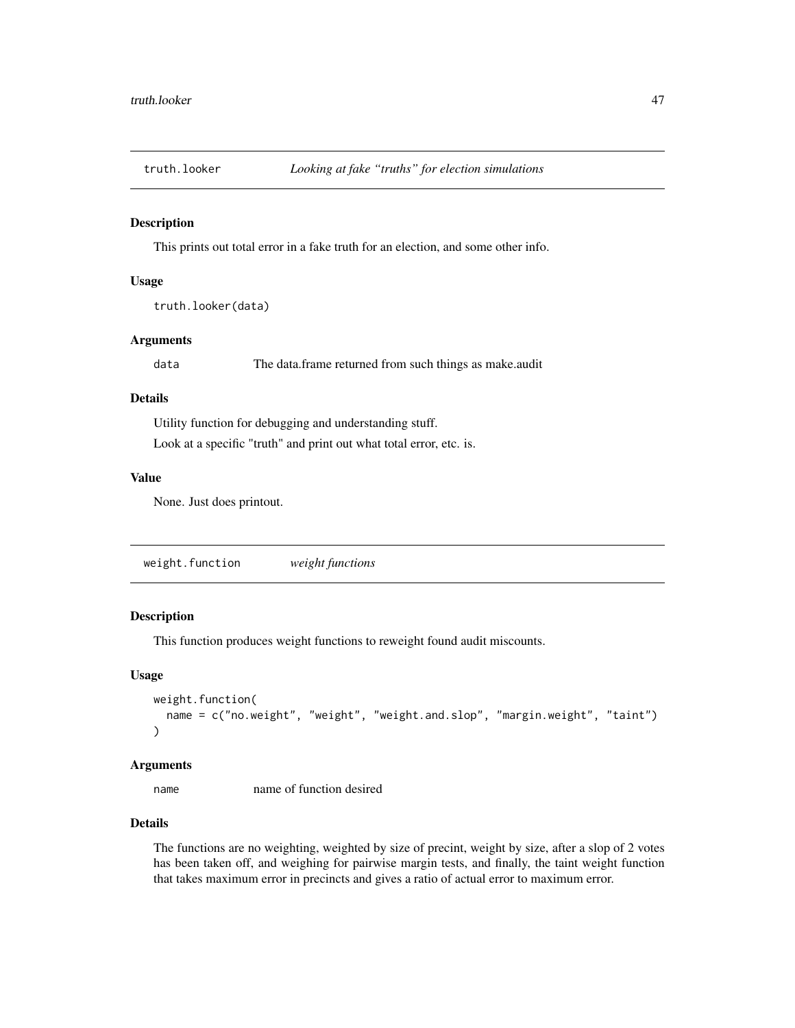<span id="page-46-1"></span><span id="page-46-0"></span>

#### Description

This prints out total error in a fake truth for an election, and some other info.

#### Usage

```
truth.looker(data)
```
#### Arguments

data The data.frame returned from such things as make.audit

#### Details

Utility function for debugging and understanding stuff.

Look at a specific "truth" and print out what total error, etc. is.

#### Value

None. Just does printout.

<span id="page-46-2"></span>weight.function *weight functions*

#### Description

This function produces weight functions to reweight found audit miscounts.

#### Usage

```
weight.function(
  name = c("no.weight", "weight", "weight.and.slop", "margin.weight", "taint")
\lambda
```
### Arguments

name name of function desired

#### Details

The functions are no weighting, weighted by size of precint, weight by size, after a slop of 2 votes has been taken off, and weighing for pairwise margin tests, and finally, the taint weight function that takes maximum error in precincts and gives a ratio of actual error to maximum error.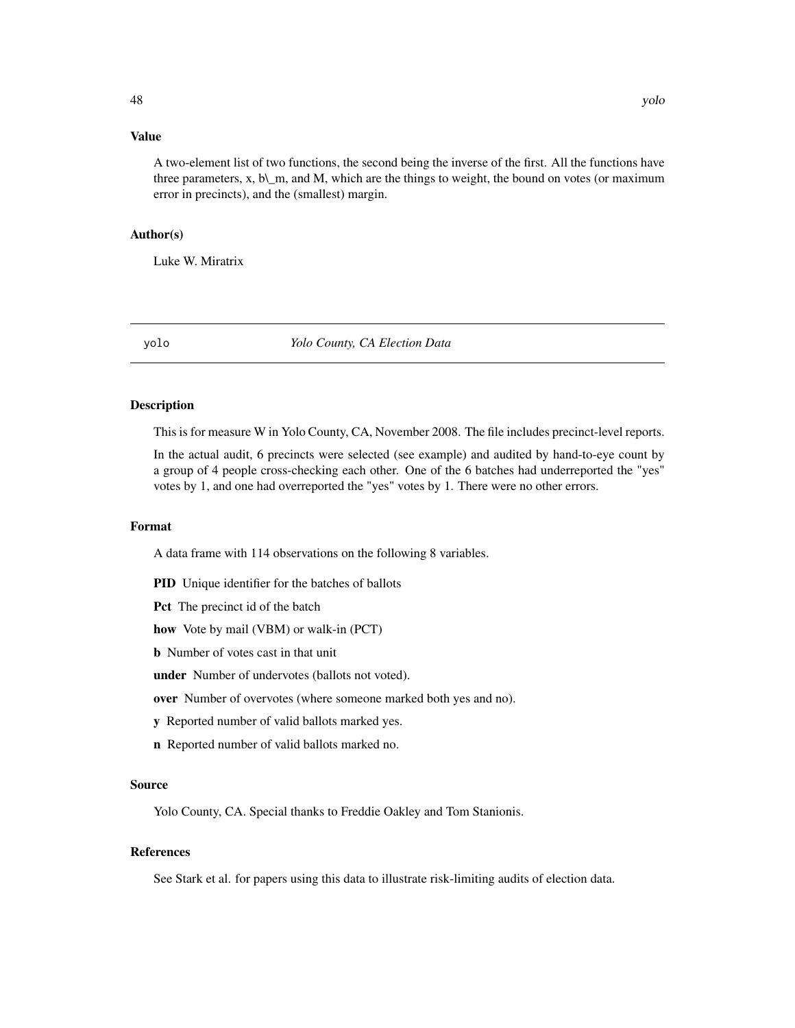### <span id="page-47-0"></span>Value

A two-element list of two functions, the second being the inverse of the first. All the functions have three parameters,  $x$ ,  $b\_{m}$ , and M, which are the things to weight, the bound on votes (or maximum error in precincts), and the (smallest) margin.

#### Author(s)

Luke W. Miratrix

<span id="page-47-1"></span>

### yolo *Yolo County, CA Election Data*

### Description

This is for measure W in Yolo County, CA, November 2008. The file includes precinct-level reports.

In the actual audit, 6 precincts were selected (see example) and audited by hand-to-eye count by a group of 4 people cross-checking each other. One of the 6 batches had underreported the "yes" votes by 1, and one had overreported the "yes" votes by 1. There were no other errors.

#### Format

A data frame with 114 observations on the following 8 variables.

PID Unique identifier for the batches of ballots

Pct The precinct id of the batch

how Vote by mail (VBM) or walk-in (PCT)

b Number of votes cast in that unit

under Number of undervotes (ballots not voted).

over Number of overvotes (where someone marked both yes and no).

y Reported number of valid ballots marked yes.

n Reported number of valid ballots marked no.

#### Source

Yolo County, CA. Special thanks to Freddie Oakley and Tom Stanionis.

#### References

See Stark et al. for papers using this data to illustrate risk-limiting audits of election data.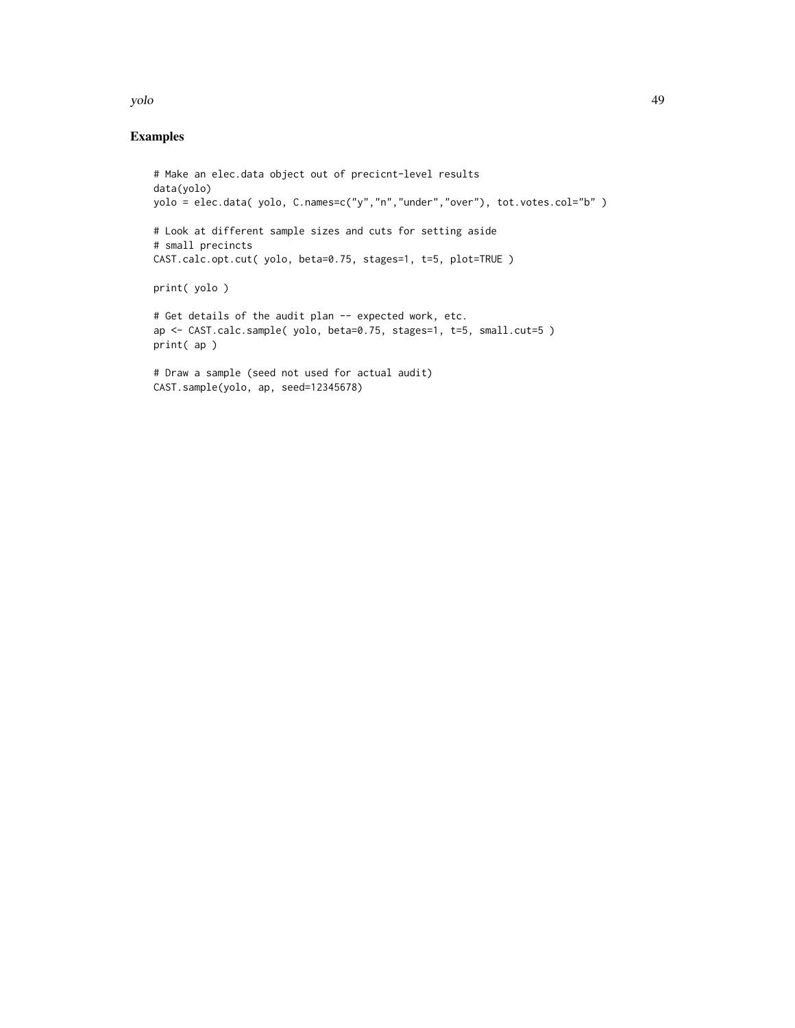### Examples

```
# Make an elec.data object out of precicnt-level results
data(yolo)
yolo = elec.data( yolo, C.names=c("y","n","under","over"), tot.votes.col="b" )
# Look at different sample sizes and cuts for setting aside
# small precincts
CAST.calc.opt.cut( yolo, beta=0.75, stages=1, t=5, plot=TRUE )
print( yolo )
# Get details of the audit plan -- expected work, etc.
ap <- CAST.calc.sample( yolo, beta=0.75, stages=1, t=5, small.cut=5 )
print( ap )
# Draw a sample (seed not used for actual audit)
CAST.sample(yolo, ap, seed=12345678)
```
yolo 49